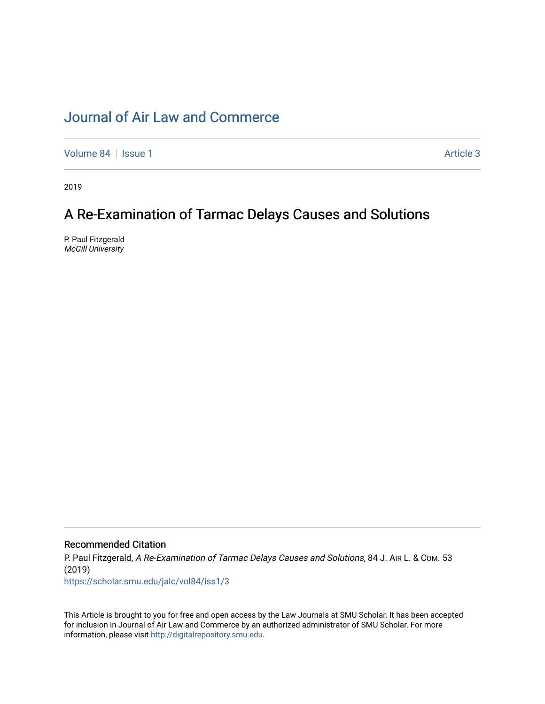# [Journal of Air Law and Commerce](https://scholar.smu.edu/jalc)

[Volume 84](https://scholar.smu.edu/jalc/vol84) | [Issue 1](https://scholar.smu.edu/jalc/vol84/iss1) Article 3

2019

# A Re-Examination of Tarmac Delays Causes and Solutions

P. Paul Fitzgerald McGill University

# Recommended Citation

P. Paul Fitzgerald, A Re-Examination of Tarmac Delays Causes and Solutions, 84 J. AIR L. & COM. 53 (2019)

[https://scholar.smu.edu/jalc/vol84/iss1/3](https://scholar.smu.edu/jalc/vol84/iss1/3?utm_source=scholar.smu.edu%2Fjalc%2Fvol84%2Fiss1%2F3&utm_medium=PDF&utm_campaign=PDFCoverPages) 

This Article is brought to you for free and open access by the Law Journals at SMU Scholar. It has been accepted for inclusion in Journal of Air Law and Commerce by an authorized administrator of SMU Scholar. For more information, please visit [http://digitalrepository.smu.edu](http://digitalrepository.smu.edu/).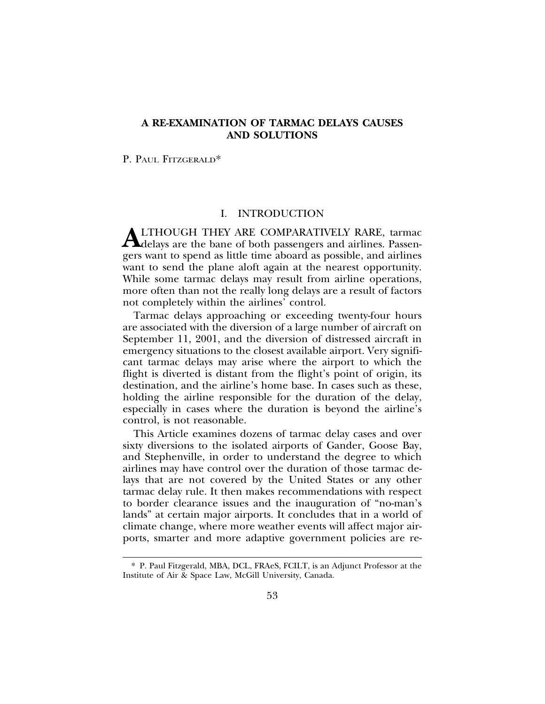# **A RE-EXAMINATION OF TARMAC DELAYS CAUSES AND SOLUTIONS**

P. PAUL FITZGERALD\*

# I. INTRODUCTION

**ALTHOUGH THEY ARE COMPARATIVELY RARE, tarmac**<br>delays are the bane of both passengers and airlines. Passengers want to spend as little time aboard as possible, and airlines want to send the plane aloft again at the nearest opportunity. While some tarmac delays may result from airline operations, more often than not the really long delays are a result of factors not completely within the airlines' control.

Tarmac delays approaching or exceeding twenty-four hours are associated with the diversion of a large number of aircraft on September 11, 2001, and the diversion of distressed aircraft in emergency situations to the closest available airport. Very significant tarmac delays may arise where the airport to which the flight is diverted is distant from the flight's point of origin, its destination, and the airline's home base. In cases such as these, holding the airline responsible for the duration of the delay, especially in cases where the duration is beyond the airline's control, is not reasonable.

This Article examines dozens of tarmac delay cases and over sixty diversions to the isolated airports of Gander, Goose Bay, and Stephenville, in order to understand the degree to which airlines may have control over the duration of those tarmac delays that are not covered by the United States or any other tarmac delay rule. It then makes recommendations with respect to border clearance issues and the inauguration of "no-man's lands" at certain major airports. It concludes that in a world of climate change, where more weather events will affect major airports, smarter and more adaptive government policies are re-

<sup>\*</sup> P. Paul Fitzgerald, MBA, DCL, FRAeS, FCILT, is an Adjunct Professor at the Institute of Air & Space Law, McGill University, Canada.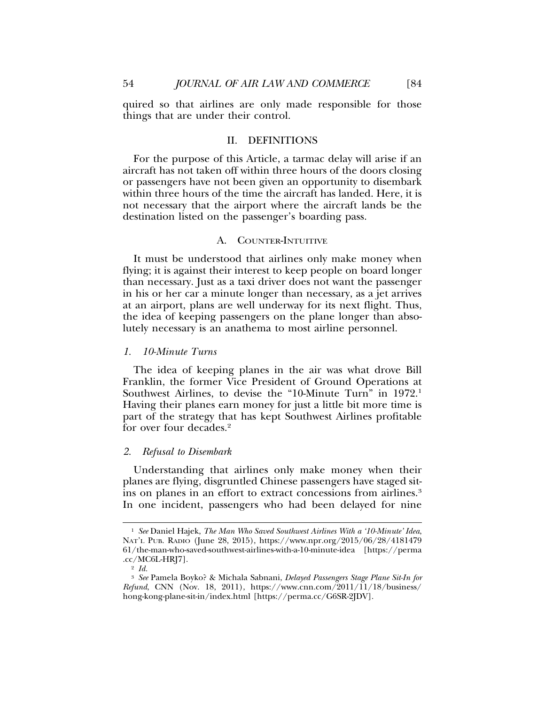quired so that airlines are only made responsible for those things that are under their control.

#### II. DEFINITIONS

For the purpose of this Article, a tarmac delay will arise if an aircraft has not taken off within three hours of the doors closing or passengers have not been given an opportunity to disembark within three hours of the time the aircraft has landed. Here, it is not necessary that the airport where the aircraft lands be the destination listed on the passenger's boarding pass.

# A. COUNTER-INTUITIVE

It must be understood that airlines only make money when flying; it is against their interest to keep people on board longer than necessary. Just as a taxi driver does not want the passenger in his or her car a minute longer than necessary, as a jet arrives at an airport, plans are well underway for its next flight. Thus, the idea of keeping passengers on the plane longer than absolutely necessary is an anathema to most airline personnel.

#### *1. 10-Minute Turns*

The idea of keeping planes in the air was what drove Bill Franklin, the former Vice President of Ground Operations at Southwest Airlines, to devise the "10-Minute Turn" in 1972.1 Having their planes earn money for just a little bit more time is part of the strategy that has kept Southwest Airlines profitable for over four decades.<sup>2</sup>

#### *2. Refusal to Disembark*

Understanding that airlines only make money when their planes are flying, disgruntled Chinese passengers have staged sitins on planes in an effort to extract concessions from airlines.<sup>3</sup> In one incident, passengers who had been delayed for nine

<sup>1</sup> *See* Daniel Hajek, *The Man Who Saved Southwest Airlines With a '10-Minute' Idea*, NAT'L PUB. RADIO (June 28, 2015), https://www.npr.org/2015/06/28/4181479 61/the-man-who-saved-southwest-airlines-with-a-10-minute-idea [https://perma .cc/MC6L-HRJ7].

<sup>2</sup> *Id.*

<sup>3</sup> *See* Pamela Boyko? & Michala Sabnani, *Delayed Passengers Stage Plane Sit-In for Refund*, CNN (Nov. 18, 2011), https://www.cnn.com/2011/11/18/business/ hong-kong-plane-sit-in/index.html [https://perma.cc/G6SR-2JDV].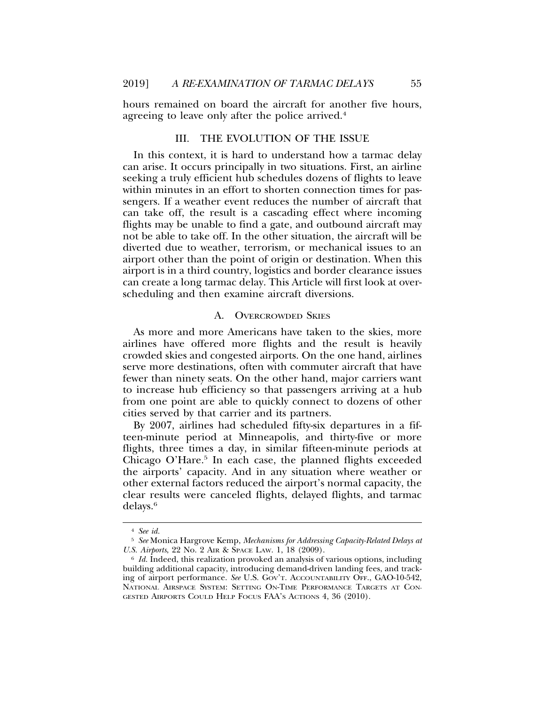hours remained on board the aircraft for another five hours, agreeing to leave only after the police arrived.<sup>4</sup>

# III. THE EVOLUTION OF THE ISSUE

In this context, it is hard to understand how a tarmac delay can arise. It occurs principally in two situations. First, an airline seeking a truly efficient hub schedules dozens of flights to leave within minutes in an effort to shorten connection times for passengers. If a weather event reduces the number of aircraft that can take off, the result is a cascading effect where incoming flights may be unable to find a gate, and outbound aircraft may not be able to take off. In the other situation, the aircraft will be diverted due to weather, terrorism, or mechanical issues to an airport other than the point of origin or destination. When this airport is in a third country, logistics and border clearance issues can create a long tarmac delay. This Article will first look at overscheduling and then examine aircraft diversions.

#### A. OVERCROWDED SKIES

As more and more Americans have taken to the skies, more airlines have offered more flights and the result is heavily crowded skies and congested airports. On the one hand, airlines serve more destinations, often with commuter aircraft that have fewer than ninety seats. On the other hand, major carriers want to increase hub efficiency so that passengers arriving at a hub from one point are able to quickly connect to dozens of other cities served by that carrier and its partners.

By 2007, airlines had scheduled fifty-six departures in a fifteen-minute period at Minneapolis, and thirty-five or more flights, three times a day, in similar fifteen-minute periods at Chicago O'Hare.<sup>5</sup> In each case, the planned flights exceeded the airports' capacity. And in any situation where weather or other external factors reduced the airport's normal capacity, the clear results were canceled flights, delayed flights, and tarmac delays.6

<sup>4</sup> *See id.*

<sup>5</sup> *See* Monica Hargrove Kemp, *Mechanisms for Addressing Capacity-Related Delays at U.S. Airports*, 22 No. 2 AIR & SPACE LAW. 1, 18 (2009).

<sup>6</sup> *Id.* Indeed, this realization provoked an analysis of various options, including building additional capacity, introducing demand-driven landing fees, and tracking of airport performance. *See* U.S. GOV'T. ACCOUNTABILITY OFF., GAO-10-542, NATIONAL AIRSPACE SYSTEM: SETTING ON-TIME PERFORMANCE TARGETS AT CON-GESTED AIRPORTS COULD HELP FOCUS FAA'S ACTIONS 4, 36 (2010).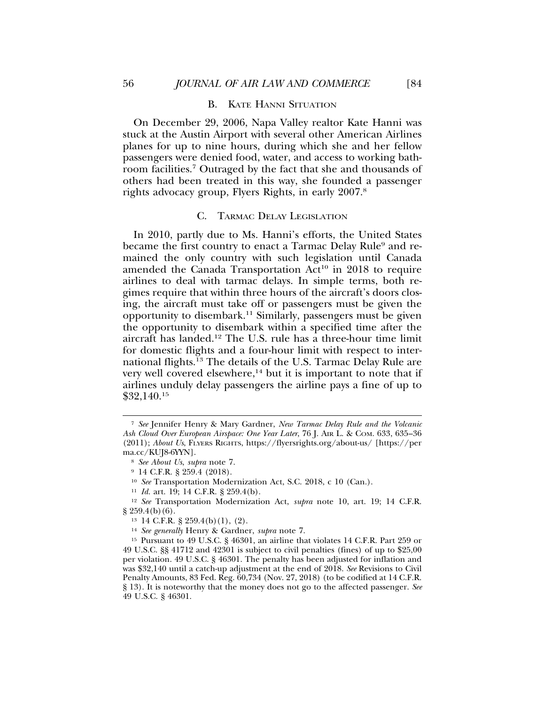#### B. KATE HANNI SITUATION

On December 29, 2006, Napa Valley realtor Kate Hanni was stuck at the Austin Airport with several other American Airlines planes for up to nine hours, during which she and her fellow passengers were denied food, water, and access to working bathroom facilities.7 Outraged by the fact that she and thousands of others had been treated in this way, she founded a passenger rights advocacy group, Flyers Rights, in early 2007.8

#### C. TARMAC DELAY LEGISLATION

In 2010, partly due to Ms. Hanni's efforts, the United States became the first country to enact a Tarmac Delay Rule<sup>9</sup> and remained the only country with such legislation until Canada amended the Canada Transportation  $Act^{10}$  in 2018 to require airlines to deal with tarmac delays. In simple terms, both regimes require that within three hours of the aircraft's doors closing, the aircraft must take off or passengers must be given the opportunity to disembark.11 Similarly, passengers must be given the opportunity to disembark within a specified time after the aircraft has landed.12 The U.S. rule has a three-hour time limit for domestic flights and a four-hour limit with respect to international flights.<sup>13</sup> The details of the U.S. Tarmac Delay Rule are very well covered elsewhere, $14$  but it is important to note that if airlines unduly delay passengers the airline pays a fine of up to \$32,140.15

<sup>7</sup> *See* Jennifer Henry & Mary Gardner, *New Tarmac Delay Rule and the Volcanic Ash Cloud Over European Airspace: One Year Later*, 76 J. AIR L. & COM. 633, 635–36 (2011); *About Us*, FLYERS RIGHTS, https://flyersrights.org/about-us/ [https://per ma.cc/KUJ8-6YYN].

<sup>8</sup> *See About Us*, *supra* note 7.

<sup>9</sup> 14 C.F.R. § 259.4 (2018).

<sup>10</sup> *See* Transportation Modernization Act, S.C. 2018, c 10 (Can.).

<sup>11</sup> *Id.* art. 19; 14 C.F.R. § 259.4(b).

<sup>12</sup> *See* Transportation Modernization Act, *supra* note 10, art. 19; 14 C.F.R.  $§$  259.4(b)(6).

 $13 \text{ } 14 \text{ C.F.R. }$  §  $259.4(b)(1), (2)$ .

<sup>14</sup> *See generally* Henry & Gardner, *supra* note 7.

<sup>&</sup>lt;sup>15</sup> Pursuant to 49 U.S.C. § 46301, an airline that violates 14 C.F.R. Part 259 or 49 U.S.C. §§ 41712 and 42301 is subject to civil penalties (fines) of up to \$25,00 per violation. 49 U.S.C. § 46301. The penalty has been adjusted for inflation and was \$32,140 until a catch-up adjustment at the end of 2018. *See* Revisions to Civil Penalty Amounts, 83 Fed. Reg. 60,734 (Nov. 27, 2018) (to be codified at 14 C.F.R. § 13). It is noteworthy that the money does not go to the affected passenger. *See* 49 U.S.C. § 46301.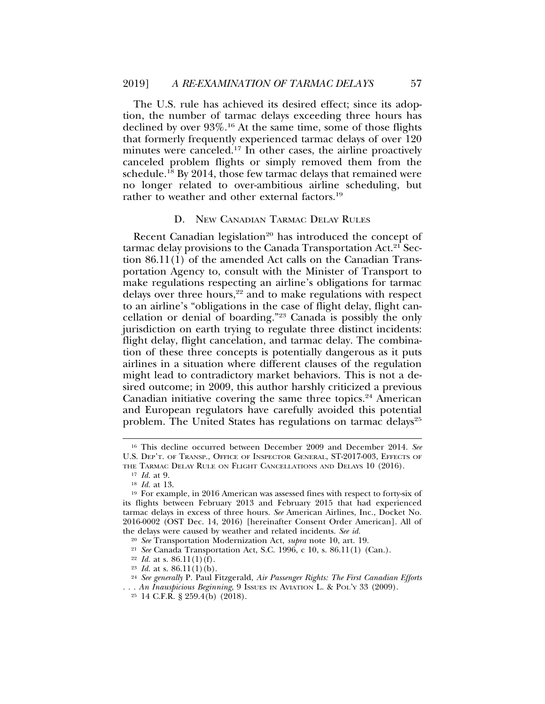The U.S. rule has achieved its desired effect; since its adoption, the number of tarmac delays exceeding three hours has declined by over 93%.<sup>16</sup> At the same time, some of those flights that formerly frequently experienced tarmac delays of over 120 minutes were canceled.<sup>17</sup> In other cases, the airline proactively canceled problem flights or simply removed them from the schedule.<sup>18</sup> By 2014, those few tarmac delays that remained were no longer related to over-ambitious airline scheduling, but rather to weather and other external factors.19

# D. NEW CANADIAN TARMAC DELAY RULES

Recent Canadian legislation<sup>20</sup> has introduced the concept of tarmac delay provisions to the Canada Transportation Act.<sup>21</sup> Section 86.11(1) of the amended Act calls on the Canadian Transportation Agency to, consult with the Minister of Transport to make regulations respecting an airline's obligations for tarmac delays over three hours,<sup>22</sup> and to make regulations with respect to an airline's "obligations in the case of flight delay, flight cancellation or denial of boarding."23 Canada is possibly the only jurisdiction on earth trying to regulate three distinct incidents: flight delay, flight cancelation, and tarmac delay. The combination of these three concepts is potentially dangerous as it puts airlines in a situation where different clauses of the regulation might lead to contradictory market behaviors. This is not a desired outcome; in 2009, this author harshly criticized a previous Canadian initiative covering the same three topics.<sup>24</sup> American and European regulators have carefully avoided this potential problem. The United States has regulations on tarmac delays<sup>25</sup>

<sup>16</sup> This decline occurred between December 2009 and December 2014. *See* U.S. DEP'T. OF TRANSP., OFFICE OF INSPECTOR GENERAL, ST-2017-003, EFFECTS OF

THE TARMAC DELAY RULE ON FLIGHT CANCELLATIONS AND DELAYS 10 (2016).

<sup>17</sup> *Id.* at 9.

<sup>18</sup> *Id.* at 13.

<sup>19</sup> For example, in 2016 American was assessed fines with respect to forty-six of its flights between February 2013 and February 2015 that had experienced tarmac delays in excess of three hours. *See* American Airlines, Inc., Docket No. 2016-0002 (OST Dec. 14, 2016) [hereinafter Consent Order American]. All of the delays were caused by weather and related incidents. *See id.*

<sup>20</sup> *See* Transportation Modernization Act, *supra* note 10, art. 19.

<sup>21</sup> *See* Canada Transportation Act, S.C. 1996, c 10, s. 86.11(1) (Can.).

<sup>&</sup>lt;sup>22</sup> *Id.* at s. 86.11(1)(f).

<sup>&</sup>lt;sup>23</sup> *Id.* at s.  $86.11(1)(b)$ .

<sup>24</sup> *See generally* P. Paul Fitzgerald, *Air Passenger Rights: The First Canadian Efforts . . . An Inauspicious Beginning*, 9 ISSUES IN AVIATION L. & POL'Y 33 (2009).

 $25$  14 C.F.R. § 259.4(b) (2018).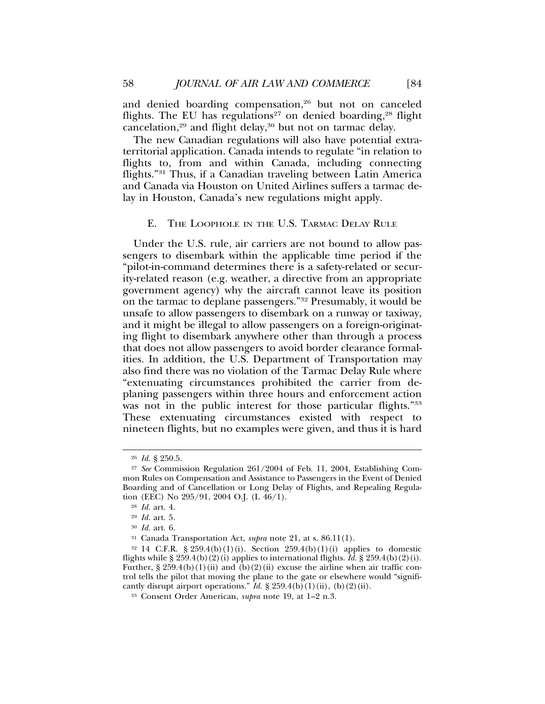and denied boarding compensation,<sup>26</sup> but not on canceled flights. The EU has regulations<sup>27</sup> on denied boarding,<sup>28</sup> flight cancelation,<sup>29</sup> and flight delay,<sup>30</sup> but not on tarmac delay.

The new Canadian regulations will also have potential extraterritorial application. Canada intends to regulate "in relation to flights to, from and within Canada, including connecting flights."31 Thus, if a Canadian traveling between Latin America and Canada via Houston on United Airlines suffers a tarmac delay in Houston, Canada's new regulations might apply.

# E. THE LOOPHOLE IN THE U.S. TARMAC DELAY RULE

Under the U.S. rule, air carriers are not bound to allow passengers to disembark within the applicable time period if the "pilot-in-command determines there is a safety-related or security-related reason (e.g. weather, a directive from an appropriate government agency) why the aircraft cannot leave its position on the tarmac to deplane passengers."32 Presumably, it would be unsafe to allow passengers to disembark on a runway or taxiway, and it might be illegal to allow passengers on a foreign-originating flight to disembark anywhere other than through a process that does not allow passengers to avoid border clearance formalities. In addition, the U.S. Department of Transportation may also find there was no violation of the Tarmac Delay Rule where "extenuating circumstances prohibited the carrier from deplaning passengers within three hours and enforcement action was not in the public interest for those particular flights."<sup>33</sup> These extenuating circumstances existed with respect to nineteen flights, but no examples were given, and thus it is hard

<sup>26</sup> *Id.* § 250.5.

<sup>27</sup> *See* Commission Regulation 261/2004 of Feb. 11, 2004, Establishing Common Rules on Compensation and Assistance to Passengers in the Event of Denied Boarding and of Cancellation or Long Delay of Flights, and Repealing Regulation (EEC) No 295/91, 2004 O.J. (L 46/1).

<sup>28</sup> *Id.* art. 4.

<sup>29</sup> *Id.* art. 5.

<sup>30</sup> *Id.* art. 6.

<sup>31</sup> Canada Transportation Act, *supra* note 21, at s. 86.11(1).

<sup>&</sup>lt;sup>32</sup> 14 C.F.R. § 259.4(b)(1)(i). Section 259.4(b)(1)(i) applies to domestic flights while  $\S 259.4(b)(2)(i)$  applies to international flights. *Id.*  $\S 259.4(b)(2)(i)$ . Further,  $\S 259.4(b)(1)(ii)$  and  $(b)(2)(ii)$  excuse the airline when air traffic control tells the pilot that moving the plane to the gate or elsewhere would "significantly disrupt airport operations."  $\overleftrightarrow{I}d$ . § 259.4(b)(1)(ii), (b)(2)(ii).

<sup>33</sup> Consent Order American, *supra* note 19, at 1–2 n.3.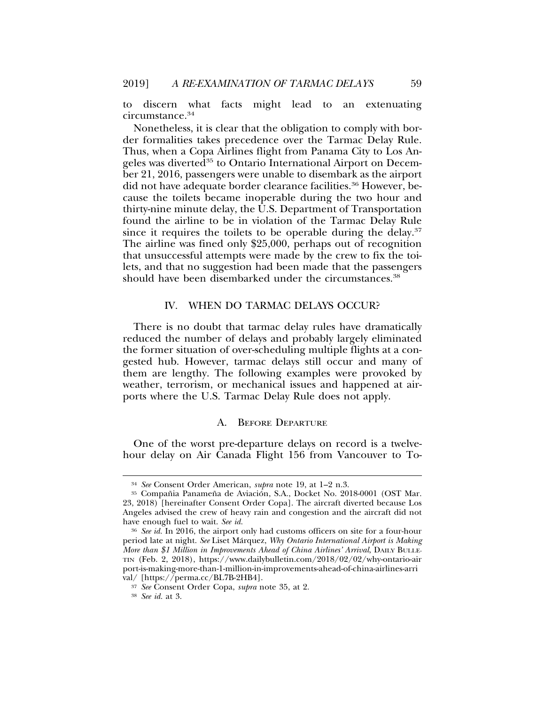to discern what facts might lead to an extenuating circumstance.<sup>34</sup>

Nonetheless, it is clear that the obligation to comply with border formalities takes precedence over the Tarmac Delay Rule. Thus, when a Copa Airlines flight from Panama City to Los Angeles was diverted<sup>35</sup> to Ontario International Airport on December 21, 2016, passengers were unable to disembark as the airport did not have adequate border clearance facilities.<sup>36</sup> However, because the toilets became inoperable during the two hour and thirty-nine minute delay, the U.S. Department of Transportation found the airline to be in violation of the Tarmac Delay Rule since it requires the toilets to be operable during the delay.<sup>37</sup> The airline was fined only \$25,000, perhaps out of recognition that unsuccessful attempts were made by the crew to fix the toilets, and that no suggestion had been made that the passengers should have been disembarked under the circumstances.<sup>38</sup>

#### IV. WHEN DO TARMAC DELAYS OCCUR?

There is no doubt that tarmac delay rules have dramatically reduced the number of delays and probably largely eliminated the former situation of over-scheduling multiple flights at a congested hub. However, tarmac delays still occur and many of them are lengthy. The following examples were provoked by weather, terrorism, or mechanical issues and happened at airports where the U.S. Tarmac Delay Rule does not apply.

#### A. BEFORE DEPARTURE

One of the worst pre-departure delays on record is a twelvehour delay on Air Canada Flight 156 from Vancouver to To-

<sup>34</sup> *See* Consent Order American, *supra* note 19, at 1–2 n.3.

<sup>&</sup>lt;sup>35</sup> Compañia Panameña de Aviación, S.A., Docket No. 2018-0001 (OST Mar. 23, 2018) [hereinafter Consent Order Copa]. The aircraft diverted because Los Angeles advised the crew of heavy rain and congestion and the aircraft did not have enough fuel to wait. *See id.*

<sup>36</sup> *See id.* In 2016, the airport only had customs officers on site for a four-hour period late at night. *See* Liset Marquez, ´ *Why Ontario International Airport is Making More than \$1 Million in Improvements Ahead of China Airlines' Arrival*, DAILY BULLE-TIN (Feb. 2, 2018), https://www.dailybulletin.com/2018/02/02/why-ontario-air port-is-making-more-than-1-million-in-improvements-ahead-of-china-airlines-arri val/ [https://perma.cc/BL7B-2HB4].

<sup>37</sup> *See* Consent Order Copa, *supra* note 35, at 2.

<sup>38</sup> *See id.* at 3.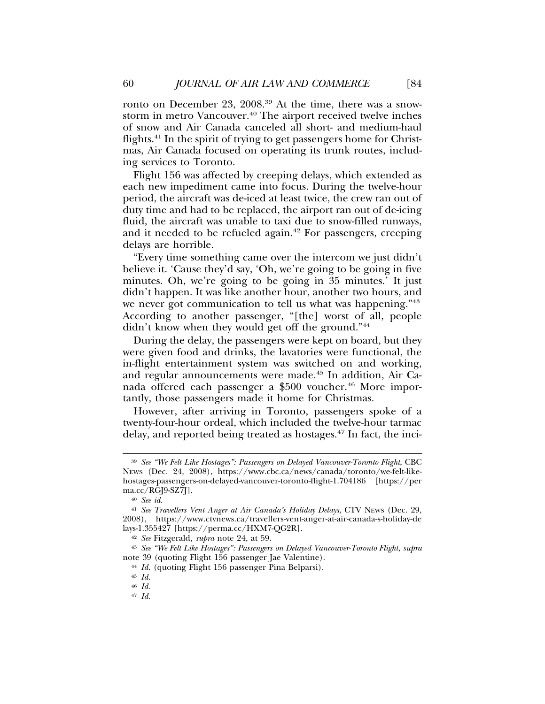ronto on December 23, 2008.<sup>39</sup> At the time, there was a snowstorm in metro Vancouver.<sup>40</sup> The airport received twelve inches of snow and Air Canada canceled all short- and medium-haul flights.41 In the spirit of trying to get passengers home for Christmas, Air Canada focused on operating its trunk routes, including services to Toronto.

Flight 156 was affected by creeping delays, which extended as each new impediment came into focus. During the twelve-hour period, the aircraft was de-iced at least twice, the crew ran out of duty time and had to be replaced, the airport ran out of de-icing fluid, the aircraft was unable to taxi due to snow-filled runways, and it needed to be refueled again.<sup>42</sup> For passengers, creeping delays are horrible.

"Every time something came over the intercom we just didn't believe it. 'Cause they'd say, 'Oh, we're going to be going in five minutes. Oh, we're going to be going in 35 minutes.' It just didn't happen. It was like another hour, another two hours, and we never got communication to tell us what was happening."<sup>43</sup> According to another passenger, "[the] worst of all, people didn't know when they would get off the ground."44

During the delay, the passengers were kept on board, but they were given food and drinks, the lavatories were functional, the in-flight entertainment system was switched on and working, and regular announcements were made.45 In addition, Air Canada offered each passenger a \$500 voucher.<sup>46</sup> More importantly, those passengers made it home for Christmas.

However, after arriving in Toronto, passengers spoke of a twenty-four-hour ordeal, which included the twelve-hour tarmac delay, and reported being treated as hostages.47 In fact, the inci-

<sup>39</sup> *See "We Felt Like Hostages": Passengers on Delayed Vancouver-Toronto Flight*, CBC NEWS (Dec. 24, 2008), https://www.cbc.ca/news/canada/toronto/we-felt-likehostages-passengers-on-delayed-vancouver-toronto-flight-1.704186 [https://per ma.cc/RGJ9-SZ7J].

<sup>40</sup> *See id.*

<sup>41</sup> *See Travellers Vent Anger at Air Canada's Holiday Delays*, CTV NEWS (Dec. 29, 2008), https://www.ctvnews.ca/travellers-vent-anger-at-air-canada-s-holiday-de lays-1.355427 [https://perma.cc/HXM7-QG2R].

<sup>42</sup> *See* Fitzgerald, *supra* note 24, at 59.

<sup>43</sup> *See "We Felt Like Hostages": Passengers on Delayed Vancouver-Toronto Flight*, *supra* note 39 (quoting Flight 156 passenger Jae Valentine).

<sup>44</sup> *Id.* (quoting Flight 156 passenger Pina Belparsi).

<sup>45</sup> *Id.*

<sup>46</sup> *Id.*

<sup>47</sup> *Id.*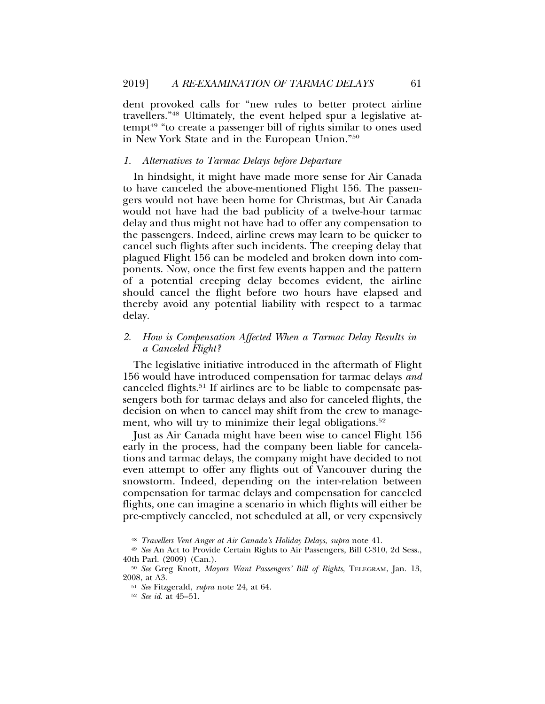dent provoked calls for "new rules to better protect airline travellers."48 Ultimately, the event helped spur a legislative attempt<sup>49</sup> "to create a passenger bill of rights similar to ones used in New York State and in the European Union."50

# *1. Alternatives to Tarmac Delays before Departure*

In hindsight, it might have made more sense for Air Canada to have canceled the above-mentioned Flight 156. The passengers would not have been home for Christmas, but Air Canada would not have had the bad publicity of a twelve-hour tarmac delay and thus might not have had to offer any compensation to the passengers. Indeed, airline crews may learn to be quicker to cancel such flights after such incidents. The creeping delay that plagued Flight 156 can be modeled and broken down into components. Now, once the first few events happen and the pattern of a potential creeping delay becomes evident, the airline should cancel the flight before two hours have elapsed and thereby avoid any potential liability with respect to a tarmac delay.

# *2. How is Compensation Affected When a Tarmac Delay Results in a Canceled Flight?*

The legislative initiative introduced in the aftermath of Flight 156 would have introduced compensation for tarmac delays *and* canceled flights.51 If airlines are to be liable to compensate passengers both for tarmac delays and also for canceled flights, the decision on when to cancel may shift from the crew to management, who will try to minimize their legal obligations.<sup>52</sup>

Just as Air Canada might have been wise to cancel Flight 156 early in the process, had the company been liable for cancelations and tarmac delays, the company might have decided to not even attempt to offer any flights out of Vancouver during the snowstorm. Indeed, depending on the inter-relation between compensation for tarmac delays and compensation for canceled flights, one can imagine a scenario in which flights will either be pre-emptively canceled, not scheduled at all, or very expensively

<sup>48</sup> *Travellers Vent Anger at Air Canada's Holiday Delays*, *supra* note 41.

<sup>49</sup> *See* An Act to Provide Certain Rights to Air Passengers, Bill C-310, 2d Sess., 40th Parl. (2009) (Can.).

<sup>50</sup> *See* Greg Knott, *Mayors Want Passengers' Bill of Rights*, TELEGRAM, Jan. 13, 2008, at A3.

<sup>51</sup> *See* Fitzgerald, *supra* note 24, at 64.

<sup>52</sup> *See id.* at 45–51.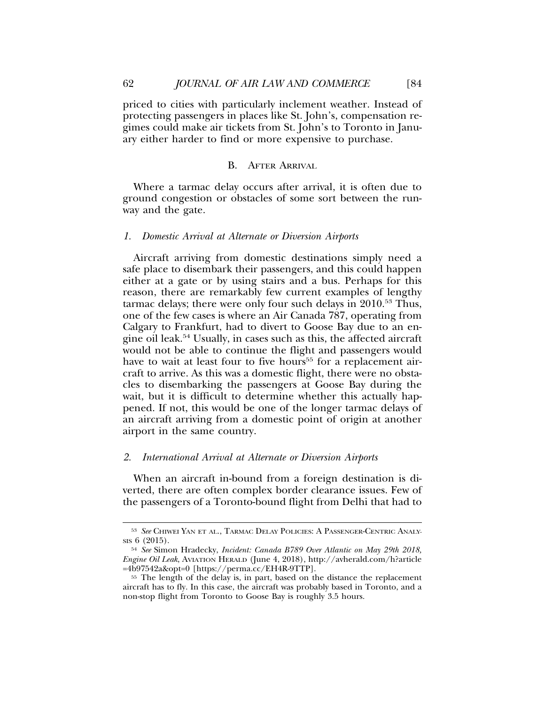priced to cities with particularly inclement weather. Instead of protecting passengers in places like St. John's, compensation regimes could make air tickets from St. John's to Toronto in January either harder to find or more expensive to purchase.

# B. AFTER ARRIVAL

Where a tarmac delay occurs after arrival, it is often due to ground congestion or obstacles of some sort between the runway and the gate.

# *1. Domestic Arrival at Alternate or Diversion Airports*

Aircraft arriving from domestic destinations simply need a safe place to disembark their passengers, and this could happen either at a gate or by using stairs and a bus. Perhaps for this reason, there are remarkably few current examples of lengthy tarmac delays; there were only four such delays in 2010.53 Thus, one of the few cases is where an Air Canada 787, operating from Calgary to Frankfurt, had to divert to Goose Bay due to an engine oil leak.54 Usually, in cases such as this, the affected aircraft would not be able to continue the flight and passengers would have to wait at least four to five hours<sup>55</sup> for a replacement aircraft to arrive. As this was a domestic flight, there were no obstacles to disembarking the passengers at Goose Bay during the wait, but it is difficult to determine whether this actually happened. If not, this would be one of the longer tarmac delays of an aircraft arriving from a domestic point of origin at another airport in the same country.

#### *2. International Arrival at Alternate or Diversion Airports*

When an aircraft in-bound from a foreign destination is diverted, there are often complex border clearance issues. Few of the passengers of a Toronto-bound flight from Delhi that had to

<sup>53</sup> *See* CHIWEI YAN ET AL., TARMAC DELAY POLICIES: A PASSENGER-CENTRIC ANALY-SIS 6 (2015).

<sup>54</sup> *See* Simon Hradecky, *Incident: Canada B789 Over Atlantic on May 29th 2018, Engine Oil Leak*, AVIATION HERALD (June 4, 2018), http://avherald.com/h?article =4b97542a&opt=0 [https://perma.cc/EH4R-9TTP].

<sup>55</sup> The length of the delay is, in part, based on the distance the replacement aircraft has to fly. In this case, the aircraft was probably based in Toronto, and a non-stop flight from Toronto to Goose Bay is roughly 3.5 hours.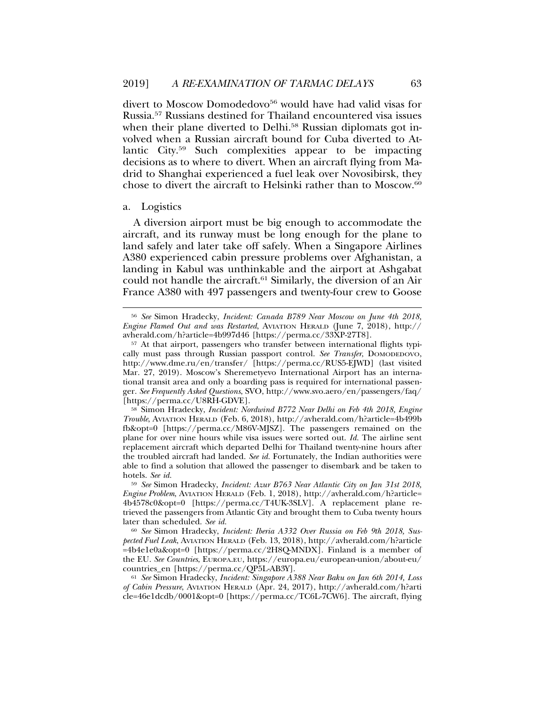divert to Moscow Domodedovo<sup>56</sup> would have had valid visas for Russia.57 Russians destined for Thailand encountered visa issues when their plane diverted to Delhi.<sup>58</sup> Russian diplomats got involved when a Russian aircraft bound for Cuba diverted to Atlantic City.59 Such complexities appear to be impacting decisions as to where to divert. When an aircraft flying from Madrid to Shanghai experienced a fuel leak over Novosibirsk, they chose to divert the aircraft to Helsinki rather than to Moscow.60

#### a. Logistics

A diversion airport must be big enough to accommodate the aircraft, and its runway must be long enough for the plane to land safely and later take off safely. When a Singapore Airlines A380 experienced cabin pressure problems over Afghanistan, a landing in Kabul was unthinkable and the airport at Ashgabat could not handle the aircraft.<sup>61</sup> Similarly, the diversion of an Air France A380 with 497 passengers and twenty-four crew to Goose

<sup>56</sup> *See* Simon Hradecky, *Incident: Canada B789 Near Moscow on June 4th 2018, Engine Flamed Out and was Restarted*, AVIATION HERALD (June 7, 2018), http:// avherald.com/h?article=4b997d46 [https://perma.cc/33XP-27T8].

<sup>57</sup> At that airport, passengers who transfer between international flights typically must pass through Russian passport control. *See Transfer*, DOMODEDOVO, http://www.dme.ru/en/transfer/ [https://perma.cc/RUS5-EJWD] (last visited Mar. 27, 2019). Moscow's Sheremetyevo International Airport has an international transit area and only a boarding pass is required for international passenger. *See Frequently Asked Questions*, SVO, http://www.svo.aero/en/passengers/faq/ [https://perma.cc/U8RH-GDVE].

<sup>58</sup> Simon Hradecky, *Incident: Nordwind B772 Near Delhi on Feb 4th 2018, Engine Trouble*, AVIATION HERALD (Feb. 6, 2018), http://avherald.com/h?article=4b499b fb&opt=0 [https://perma.cc/M86V-MJSZ]. The passengers remained on the plane for over nine hours while visa issues were sorted out. *Id.* The airline sent replacement aircraft which departed Delhi for Thailand twenty-nine hours after the troubled aircraft had landed. *See id.* Fortunately, the Indian authorities were able to find a solution that allowed the passenger to disembark and be taken to hotels. *See id.*

<sup>59</sup> *See* Simon Hradecky, *Incident: Azur B763 Near Atlantic City on Jan 31st 2018, Engine Problem*, AVIATION HERALD (Feb. 1, 2018), http://avherald.com/h?article= 4b4578c0&opt=0 [https://perma.cc/T4UK-3SLV]. A replacement plane retrieved the passengers from Atlantic City and brought them to Cuba twenty hours later than scheduled. *See id.*

<sup>60</sup> *See* Simon Hradecky, *Incident: Iberia A332 Over Russia on Feb 9th 2018, Suspected Fuel Leak*, AVIATION HERALD (Feb. 13, 2018), http://avherald.com/h?article =4b4e1e0a&opt=0 [https://perma.cc/2H8Q-MNDX]. Finland is a member of the EU. *See Countries*, EUROPA.EU, https://europa.eu/european-union/about-eu/ countries\_en [https://perma.cc/QP5L-AB3Y].

<sup>61</sup> *See* Simon Hradecky, *Incident: Singapore A388 Near Baku on Jan 6th 2014, Loss of Cabin Pressure*, AVIATION HERALD (Apr. 24, 2017), http://avherald.com/h?arti cle=46e1dcdb/0001&opt=0 [https://perma.cc/TC6L-7CW6]. The aircraft, flying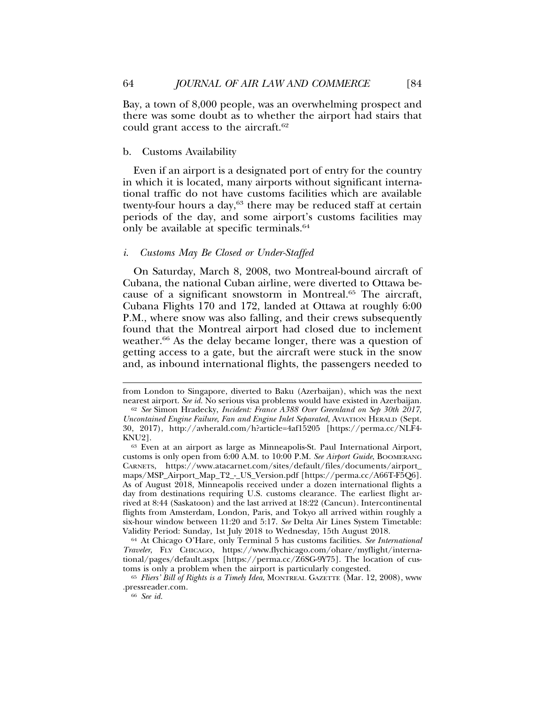Bay, a town of 8,000 people, was an overwhelming prospect and there was some doubt as to whether the airport had stairs that could grant access to the aircraft.<sup>62</sup>

# b. Customs Availability

Even if an airport is a designated port of entry for the country in which it is located, many airports without significant international traffic do not have customs facilities which are available twenty-four hours a day, $63$  there may be reduced staff at certain periods of the day, and some airport's customs facilities may only be available at specific terminals.64

#### *i. Customs May Be Closed or Under-Staffed*

On Saturday, March 8, 2008, two Montreal-bound aircraft of Cubana, the national Cuban airline, were diverted to Ottawa because of a significant snowstorm in Montreal.65 The aircraft, Cubana Flights 170 and 172, landed at Ottawa at roughly 6:00 P.M., where snow was also falling, and their crews subsequently found that the Montreal airport had closed due to inclement weather.<sup>66</sup> As the delay became longer, there was a question of getting access to a gate, but the aircraft were stuck in the snow and, as inbound international flights, the passengers needed to

from London to Singapore, diverted to Baku (Azerbaijan), which was the next nearest airport. *See id.* No serious visa problems would have existed in Azerbaijan.

<sup>62</sup> *See* Simon Hradecky, *Incident: France A388 Over Greenland on Sep 30th 2017, Uncontained Engine Failure, Fan and Engine Inlet Separated*, AVIATION HERALD (Sept. 30, 2017), http://avherald.com/h?article=4af15205 [https://perma.cc/NLF4- KNU2].

<sup>63</sup> Even at an airport as large as Minneapolis-St. Paul International Airport, customs is only open from 6:00 A.M. to 10:00 P.M. *See Airport Guide*, BOOMERANG CARNETS, https://www.atacarnet.com/sites/default/files/documents/airport\_ maps/MSP\_Airport\_Map\_T2\_-\_US\_Version.pdf [https://perma.cc/A66T-F5Q6]. As of August 2018, Minneapolis received under a dozen international flights a day from destinations requiring U.S. customs clearance. The earliest flight arrived at 8:44 (Saskatoon) and the last arrived at 18:22 (Cancun). Intercontinental flights from Amsterdam, London, Paris, and Tokyo all arrived within roughly a six-hour window between 11:20 and 5:17. *See* Delta Air Lines System Timetable: Validity Period: Sunday, 1st July 2018 to Wednesday, 15th August 2018.

<sup>64</sup> At Chicago O'Hare, only Terminal 5 has customs facilities. *See International Traveler*, FLY CHICAGO, https://www.flychicago.com/ohare/myflight/international/pages/default.aspx [https://perma.cc/Z6SG-9Y75]. The location of customs is only a problem when the airport is particularly congested.

<sup>65</sup> *Fliers' Bill of Rights is a Timely Idea*, MONTREAL GAZETTE (Mar. 12, 2008), www .pressreader.com.

<sup>66</sup> *See id.*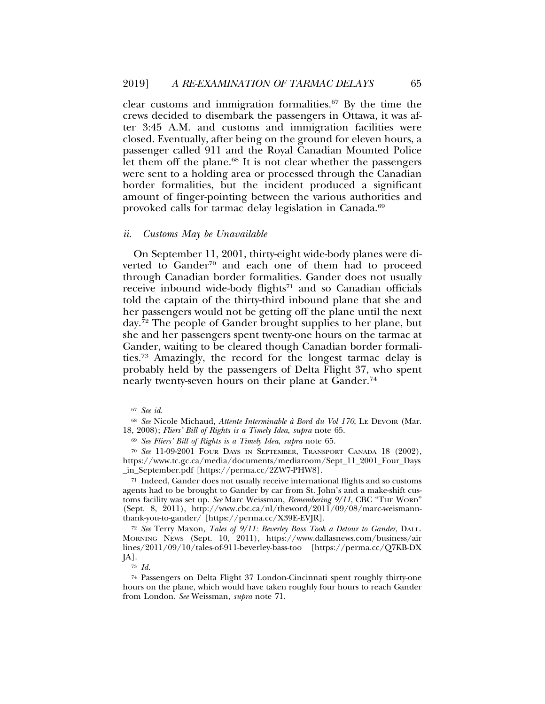clear customs and immigration formalities.67 By the time the crews decided to disembark the passengers in Ottawa, it was after 3:45 A.M. and customs and immigration facilities were closed. Eventually, after being on the ground for eleven hours, a passenger called 911 and the Royal Canadian Mounted Police let them off the plane.<sup>68</sup> It is not clear whether the passengers were sent to a holding area or processed through the Canadian border formalities, but the incident produced a significant amount of finger-pointing between the various authorities and provoked calls for tarmac delay legislation in Canada.69

#### *ii. Customs May be Unavailable*

On September 11, 2001, thirty-eight wide-body planes were diverted to Gander<sup>70</sup> and each one of them had to proceed through Canadian border formalities. Gander does not usually receive inbound wide-body flights<sup>71</sup> and so Canadian officials told the captain of the thirty-third inbound plane that she and her passengers would not be getting off the plane until the next day.72 The people of Gander brought supplies to her plane, but she and her passengers spent twenty-one hours on the tarmac at Gander, waiting to be cleared though Canadian border formalities.73 Amazingly, the record for the longest tarmac delay is probably held by the passengers of Delta Flight 37, who spent nearly twenty-seven hours on their plane at Gander.<sup>74</sup>

<sup>73</sup> *Id.*

<sup>67</sup> *See id.*

<sup>&</sup>lt;sup>68</sup> See Nicole Michaud, *Attente Interminable à Bord du Vol 170*, LE DEVOIR (Mar. 18, 2008); *Fliers' Bill of Rights is a Timely Idea*, *supra* note 65.

<sup>69</sup> *See Fliers' Bill of Rights is a Timely Idea*, *supra* note 65.

<sup>70</sup> *See* 11-09-2001 FOUR DAYS IN SEPTEMBER, TRANSPORT CANADA 18 (2002), https://www.tc.gc.ca/media/documents/mediaroom/Sept\_11\_2001\_Four\_Days \_in\_September.pdf [https://perma.cc/2ZW7-PHW8].

<sup>71</sup> Indeed, Gander does not usually receive international flights and so customs agents had to be brought to Gander by car from St. John's and a make-shift customs facility was set up. *See* Marc Weissman, *Remembering 9/11*, CBC "THE WORD" (Sept. 8, 2011), http://www.cbc.ca/nl/theword/2011/09/08/marc-weismannthank-you-to-gander/ [https://perma.cc/X39E-EVJR].

<sup>72</sup> *See* Terry Maxon, *Tales of 9/11: Beverley Bass Took a Detour to Gander*, DALL. MORNING NEWS (Sept. 10, 2011), https://www.dallasnews.com/business/air lines/2011/09/10/tales-of-911-beverley-bass-too [https://perma.cc/Q7KB-DX JA].

<sup>74</sup> Passengers on Delta Flight 37 London-Cincinnati spent roughly thirty-one hours on the plane, which would have taken roughly four hours to reach Gander from London. *See* Weissman, *supra* note 71.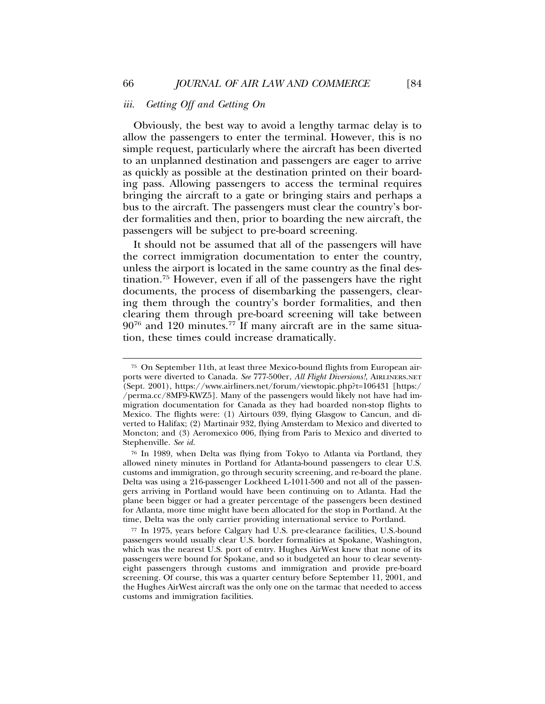# *iii. Getting Off and Getting On*

Obviously, the best way to avoid a lengthy tarmac delay is to allow the passengers to enter the terminal. However, this is no simple request, particularly where the aircraft has been diverted to an unplanned destination and passengers are eager to arrive as quickly as possible at the destination printed on their boarding pass. Allowing passengers to access the terminal requires bringing the aircraft to a gate or bringing stairs and perhaps a bus to the aircraft. The passengers must clear the country's border formalities and then, prior to boarding the new aircraft, the passengers will be subject to pre-board screening.

It should not be assumed that all of the passengers will have the correct immigration documentation to enter the country, unless the airport is located in the same country as the final destination.<sup>75</sup> However, even if all of the passengers have the right documents, the process of disembarking the passengers, clearing them through the country's border formalities, and then clearing them through pre-board screening will take between  $90^{76}$  and 120 minutes.<sup>77</sup> If many aircraft are in the same situation, these times could increase dramatically.

<sup>75</sup> On September 11th, at least three Mexico-bound flights from European airports were diverted to Canada. *See* 777-500er, *All Flight Diversions!*, AIRLINERS.NET (Sept. 2001), https://www.airliners.net/forum/viewtopic.php?t=106431 [https:/ /perma.cc/8MF9-KWZ5]. Many of the passengers would likely not have had immigration documentation for Canada as they had boarded non-stop flights to Mexico. The flights were: (1) Airtours 039, flying Glasgow to Cancun, and diverted to Halifax; (2) Martinair 932, flying Amsterdam to Mexico and diverted to Moncton; and (3) Aeromexico 006, flying from Paris to Mexico and diverted to Stephenville. *See id.*

<sup>76</sup> In 1989, when Delta was flying from Tokyo to Atlanta via Portland, they allowed ninety minutes in Portland for Atlanta-bound passengers to clear U.S. customs and immigration, go through security screening, and re-board the plane. Delta was using a 216-passenger Lockheed L-1011-500 and not all of the passengers arriving in Portland would have been continuing on to Atlanta. Had the plane been bigger or had a greater percentage of the passengers been destined for Atlanta, more time might have been allocated for the stop in Portland. At the time, Delta was the only carrier providing international service to Portland.

<sup>77</sup> In 1975, years before Calgary had U.S. pre-clearance facilities, U.S.-bound passengers would usually clear U.S. border formalities at Spokane, Washington, which was the nearest U.S. port of entry. Hughes AirWest knew that none of its passengers were bound for Spokane, and so it budgeted an hour to clear seventyeight passengers through customs and immigration and provide pre-board screening. Of course, this was a quarter century before September 11, 2001, and the Hughes AirWest aircraft was the only one on the tarmac that needed to access customs and immigration facilities.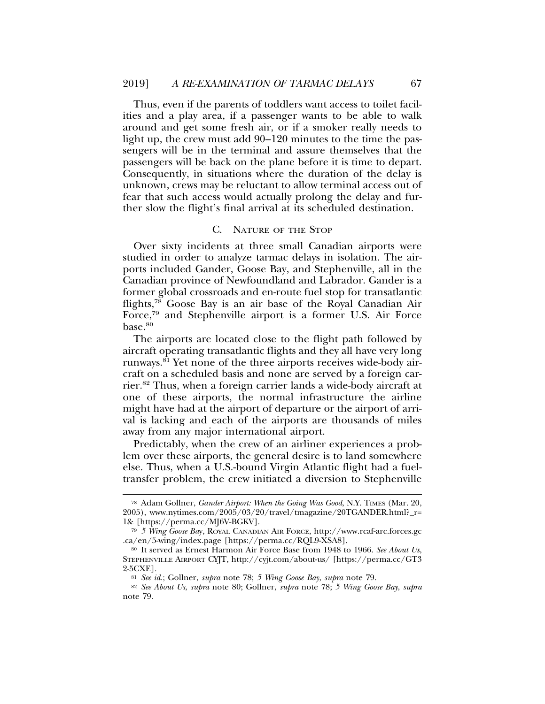Thus, even if the parents of toddlers want access to toilet facilities and a play area, if a passenger wants to be able to walk around and get some fresh air, or if a smoker really needs to light up, the crew must add 90–120 minutes to the time the passengers will be in the terminal and assure themselves that the passengers will be back on the plane before it is time to depart. Consequently, in situations where the duration of the delay is unknown, crews may be reluctant to allow terminal access out of fear that such access would actually prolong the delay and further slow the flight's final arrival at its scheduled destination.

# C. NATURE OF THE STOP

Over sixty incidents at three small Canadian airports were studied in order to analyze tarmac delays in isolation. The airports included Gander, Goose Bay, and Stephenville, all in the Canadian province of Newfoundland and Labrador. Gander is a former global crossroads and en-route fuel stop for transatlantic flights,78 Goose Bay is an air base of the Royal Canadian Air Force,79 and Stephenville airport is a former U.S. Air Force base.<sup>80</sup>

The airports are located close to the flight path followed by aircraft operating transatlantic flights and they all have very long runways.81 Yet none of the three airports receives wide-body aircraft on a scheduled basis and none are served by a foreign carrier.82 Thus, when a foreign carrier lands a wide-body aircraft at one of these airports, the normal infrastructure the airline might have had at the airport of departure or the airport of arrival is lacking and each of the airports are thousands of miles away from any major international airport.

Predictably, when the crew of an airliner experiences a problem over these airports, the general desire is to land somewhere else. Thus, when a U.S.-bound Virgin Atlantic flight had a fueltransfer problem, the crew initiated a diversion to Stephenville

<sup>78</sup> Adam Gollner, *Gander Airport: When the Going Was Good*, N.Y. TIMES (Mar. 20, 2005), www.nytimes.com/2005/03/20/travel/tmagazine/20TGANDER.html?\_r= 1& [https://perma.cc/MJ6V-BGKV].

<sup>79</sup> *5 Wing Goose Ba*y, ROYAL CANADIAN AIR FORCE, http://www.rcaf-arc.forces.gc .ca/en/5-wing/index.page [https://perma.cc/RQL9-XSA8].

<sup>80</sup> It served as Ernest Harmon Air Force Base from 1948 to 1966. *See About Us*, STEPHENVILLE AIRPORT CYJT, http://cyjt.com/about-us/ [https://perma.cc/GT3 2-5CXE].

<sup>81</sup> *See id.*; Gollner, *supra* note 78; *5 Wing Goose Bay*, *supra* note 79.

<sup>82</sup> *See About Us*, *supra* note 80; Gollner, *supra* note 78; *5 Wing Goose Bay*, *supra* note 79.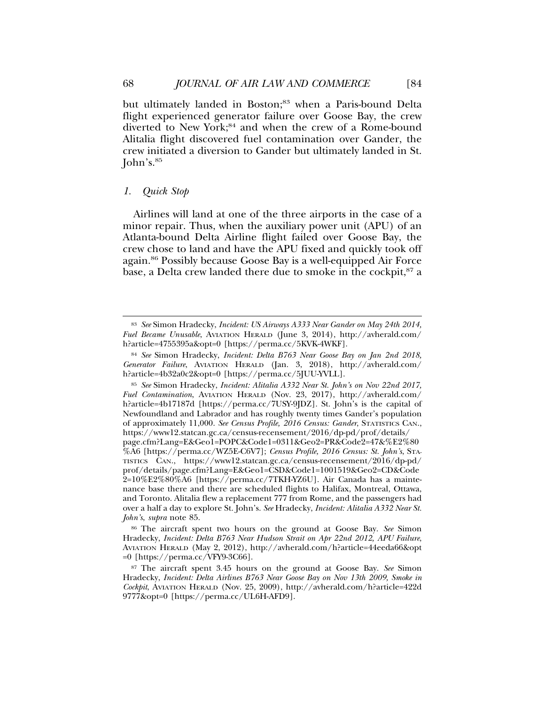but ultimately landed in Boston;<sup>83</sup> when a Paris-bound Delta flight experienced generator failure over Goose Bay, the crew diverted to New York;<sup>84</sup> and when the crew of a Rome-bound Alitalia flight discovered fuel contamination over Gander, the crew initiated a diversion to Gander but ultimately landed in St. John's.85

# *1. Quick Stop*

Airlines will land at one of the three airports in the case of a minor repair. Thus, when the auxiliary power unit (APU) of an Atlanta-bound Delta Airline flight failed over Goose Bay, the crew chose to land and have the APU fixed and quickly took off again.86 Possibly because Goose Bay is a well-equipped Air Force base, a Delta crew landed there due to smoke in the cockpit,<sup>87</sup> a

<sup>86</sup> The aircraft spent two hours on the ground at Goose Bay. *See* Simon Hradecky, *Incident: Delta B763 Near Hudson Strait on Apr 22nd 2012, APU Failure*, AVIATION HERALD (May 2, 2012), http://avherald.com/h?article=44eeda66&opt =0 [https://perma.cc/VFY9-3C66].

<sup>83</sup> *See* Simon Hradecky, *Incident: US Airways A333 Near Gander on May 24th 2014, Fuel Became Unusable*, AVIATION HERALD (June 3, 2014), http://avherald.com/ h?article=4755395a&opt=0 [https://perma.cc/5KVK-4WKF].

<sup>84</sup> *See* Simon Hradecky, *Incident: Delta B763 Near Goose Bay on Jan 2nd 2018, Generator Failure*, AVIATION HERALD (Jan. 3, 2018), http://avherald.com/ h?article=4b32a0c2&opt=0 [https://perma.cc/5JUU-YVLL].

<sup>85</sup> *See* Simon Hradecky, *Incident: Alitalia A332 Near St. John's on Nov 22nd 2017, Fuel Contamination*, AVIATION HERALD (Nov. 23, 2017), http://avherald.com/ h?article=4b17187d [https://perma.cc/7USY-9JDZ]. St. John's is the capital of Newfoundland and Labrador and has roughly twenty times Gander's population of approximately 11,000. *See Census Profile, 2016 Census: Gander*, STATISTICS CAN., https://www12.statcan.gc.ca/census-recensement/2016/dp-pd/prof/details/ page.cfm?Lang=E&Geo1=POPC&Code1=0311&Geo2=PR&Code2=47&%E2%80 %A6 [https://perma.cc/WZ5E-C6V7]; *Census Profile, 2016 Census: St. John's*, STA-TISTICS CAN., https://www12.statcan.gc.ca/census-recensement/2016/dp-pd/ prof/details/page.cfm?Lang=E&Geo1=CSD&Code1=1001519&Geo2=CD&Code 2=10%E2%80%A6 [https://perma.cc/7TKH-YZ6U]. Air Canada has a maintenance base there and there are scheduled flights to Halifax, Montreal, Ottawa, and Toronto. Alitalia flew a replacement 777 from Rome, and the passengers had over a half a day to explore St. John's. *See* Hradecky, *Incident: Alitalia A332 Near St. John's*, *supra* note 85.

<sup>87</sup> The aircraft spent 3.45 hours on the ground at Goose Bay. *See* Simon Hradecky, *Incident: Delta Airlines B763 Near Goose Bay on Nov 13th 2009, Smoke in Cockpit*, AVIATION HERALD (Nov. 25, 2009), http://avherald.com/h?article=422d 9777&opt=0 [https://perma.cc/UL6H-AFD9].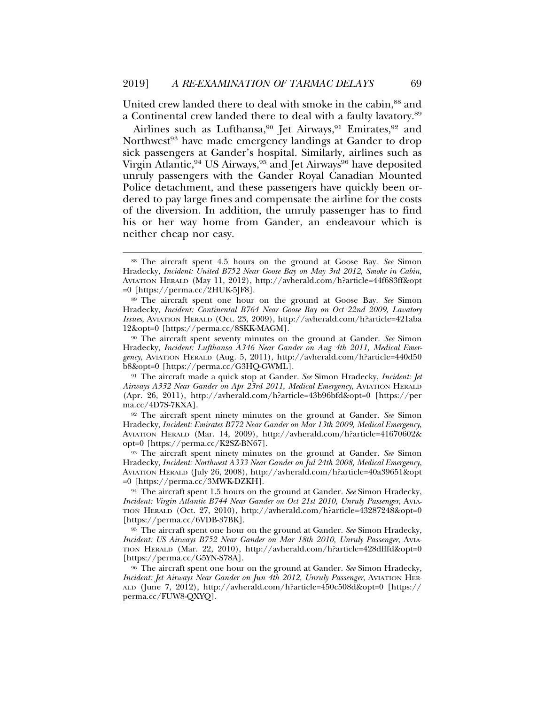United crew landed there to deal with smoke in the cabin,<sup>88</sup> and a Continental crew landed there to deal with a faulty lavatory.89

Airlines such as Lufthansa,<sup>90</sup> Jet Airways,<sup>91</sup> Emirates,<sup>92</sup> and Northwest<sup>93</sup> have made emergency landings at Gander to drop sick passengers at Gander's hospital. Similarly, airlines such as Virgin Atlantic, <sup>94</sup> US Airways, <sup>95</sup> and Jet Airways<sup>96</sup> have deposited unruly passengers with the Gander Royal Canadian Mounted Police detachment, and these passengers have quickly been ordered to pay large fines and compensate the airline for the costs of the diversion. In addition, the unruly passenger has to find his or her way home from Gander, an endeavour which is neither cheap nor easy.

<sup>90</sup> The aircraft spent seventy minutes on the ground at Gander. *See* Simon Hradecky, *Incident: Lufthansa A346 Near Gander on Aug 4th 2011, Medical Emergency*, AVIATION HERALD (Aug. 5, 2011), http://avherald.com/h?article=440d50 b8&opt=0 [https://perma.cc/G3HQ-GWML].

<sup>91</sup> The aircraft made a quick stop at Gander. *See* Simon Hradecky, *Incident: Jet Airways A332 Near Gander on Apr 23rd 2011, Medical Emergency*, AVIATION HERALD (Apr. 26, 2011), http://avherald.com/h?article=43b96bfd&opt=0 [https://per ma.cc/4D7S-7KXA].

<sup>92</sup> The aircraft spent ninety minutes on the ground at Gander. *See* Simon Hradecky, *Incident: Emirates B772 Near Gander on Mar 13th 2009, Medical Emergency*, AVIATION HERALD (Mar. 14, 2009), http://avherald.com/h?article=41670602& opt=0 [https://perma.cc/K2SZ-BN67].

<sup>93</sup> The aircraft spent ninety minutes on the ground at Gander. *See* Simon Hradecky, *Incident: Northwest A333 Near Gander on Jul 24th 2008, Medical Emergency*, AVIATION HERALD (July 26, 2008), http://avherald.com/h?article=40a39651&opt =0 [https://perma.cc/3MWK-DZKH].

<sup>94</sup> The aircraft spent 1.5 hours on the ground at Gander. *See* Simon Hradecky, *Incident: Virgin Atlantic B744 Near Gander on Oct 21st 2010, Unruly Passenger*, AVIA-TION HERALD (Oct. 27, 2010), http://avherald.com/h?article=43287248&opt=0 [https://perma.cc/6VDB-37BK].

<sup>95</sup> The aircraft spent one hour on the ground at Gander. *See* Simon Hradecky, *Incident: US Airways B752 Near Gander on Mar 18th 2010, Unruly Passenger*, AVIA-TION HERALD (Mar. 22, 2010), http://avherald.com/h?article=428dfffd&opt=0 [https://perma.cc/G5YN-S78A].

<sup>96</sup> The aircraft spent one hour on the ground at Gander. *See* Simon Hradecky, *Incident: Jet Airways Near Gander on Jun 4th 2012, Unruly Passenger*, AVIATION HER-ALD (June 7, 2012), http://avherald.com/h?article=450c508d&opt=0 [https:// perma.cc/FUW8-QXYQ].

<sup>88</sup> The aircraft spent 4.5 hours on the ground at Goose Bay. *See* Simon Hradecky, *Incident: United B752 Near Goose Bay on May 3rd 2012, Smoke in Cabin*, AVIATION HERALD (May 11, 2012), http://avherald.com/h?article=44f683ff&opt =0 [https://perma.cc/2HUK-5JF8].

<sup>89</sup> The aircraft spent one hour on the ground at Goose Bay. *See* Simon Hradecky, *Incident: Continental B764 Near Goose Bay on Oct 22nd 2009, Lavatory Issues*, AVIATION HERALD (Oct. 23, 2009), http://avherald.com/h?article=421aba 12&opt=0 [https://perma.cc/8SKK-MAGM].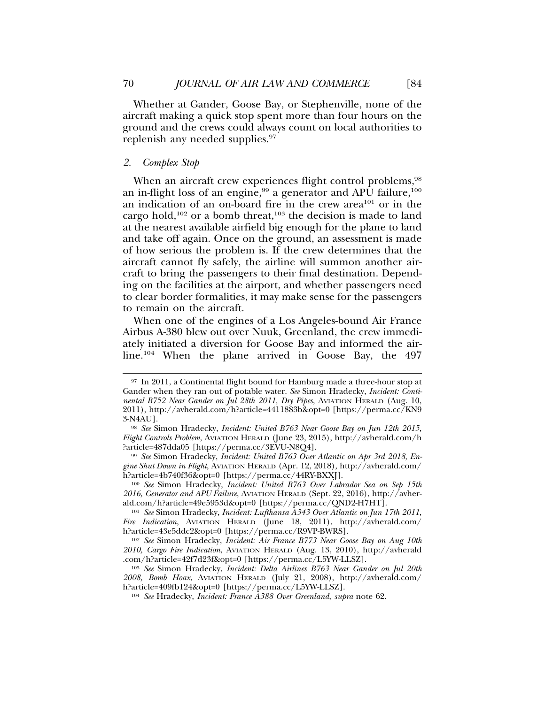Whether at Gander, Goose Bay, or Stephenville, none of the aircraft making a quick stop spent more than four hours on the ground and the crews could always count on local authorities to replenish any needed supplies.<sup>97</sup>

# *2. Complex Stop*

When an aircraft crew experiences flight control problems,<sup>98</sup> an in-flight loss of an engine,<sup>99</sup> a generator and APU failure,<sup>100</sup> an indication of an on-board fire in the crew area<sup>101</sup> or in the cargo hold, $102$  or a bomb threat, $103$  the decision is made to land at the nearest available airfield big enough for the plane to land and take off again. Once on the ground, an assessment is made of how serious the problem is. If the crew determines that the aircraft cannot fly safely, the airline will summon another aircraft to bring the passengers to their final destination. Depending on the facilities at the airport, and whether passengers need to clear border formalities, it may make sense for the passengers to remain on the aircraft.

When one of the engines of a Los Angeles-bound Air France Airbus A-380 blew out over Nuuk, Greenland, the crew immediately initiated a diversion for Goose Bay and informed the airline.<sup>104</sup> When the plane arrived in Goose Bay, the 497

<sup>97</sup> In 2011, a Continental flight bound for Hamburg made a three-hour stop at Gander when they ran out of potable water. *See* Simon Hradecky, *Incident: Continental B752 Near Gander on Jul 28th 2011, Dry Pipes*, AVIATION HERALD (Aug. 10, 2011), http://avherald.com/h?article=4411883b&opt=0 [https://perma.cc/KN9 3-N4AU].

<sup>98</sup> *See* Simon Hradecky, *Incident: United B763 Near Goose Bay on Jun 12th 2015, Flight Controls Problem*, AVIATION HERALD (June 23, 2015), http://avherald.com/h ?article=487dda05 [https://perma.cc/3EVU-N8Q4].

<sup>99</sup> *See* Simon Hradecky, *Incident: United B763 Over Atlantic on Apr 3rd 2018, Engine Shut Down in Flight*, AVIATION HERALD (Apr. 12, 2018), http://avherald.com/ h?article=4b740f36&opt=0 [https://perma.cc/44RY-BXXJ].

<sup>100</sup> *See* Simon Hradecky, *Incident: United B763 Over Labrador Sea on Sep 15th 2016, Generator and APU Failure*, AVIATION HERALD (Sept. 22, 2016), http://avherald.com/h?article=49e5953d&opt=0 [https://perma.cc/QND2-H7HT].

<sup>101</sup> *See* Simon Hradecky, *Incident: Lufthansa A343 Over Atlantic on Jun 17th 2011, Fire Indication*, AVIATION HERALD (June 18, 2011), http://avherald.com/ h?article=43e5ddc2&opt=0 [https://perma.cc/R9VP-BWRS].

<sup>102</sup> *See* Simon Hradecky, *Incident: Air France B773 Near Goose Bay on Aug 10th 2010, Cargo Fire Indication*, AVIATION HERALD (Aug. 13, 2010), http://avherald .com/h?article=42f7d23f&opt=0 [https://perma.cc/L5YW-LLSZ].

<sup>103</sup> *See* Simon Hradecky, *Incident: Delta Airlines B763 Near Gander on Jul 20th 2008, Bomb Hoax*, AVIATION HERALD (July 21, 2008), http://avherald.com/ h?article=409fb124&opt=0 [https://perma.cc/L5YW-LLSZ].

<sup>104</sup> *See* Hradecky, *Incident: France A388 Over Greenland*, *supra* note 62.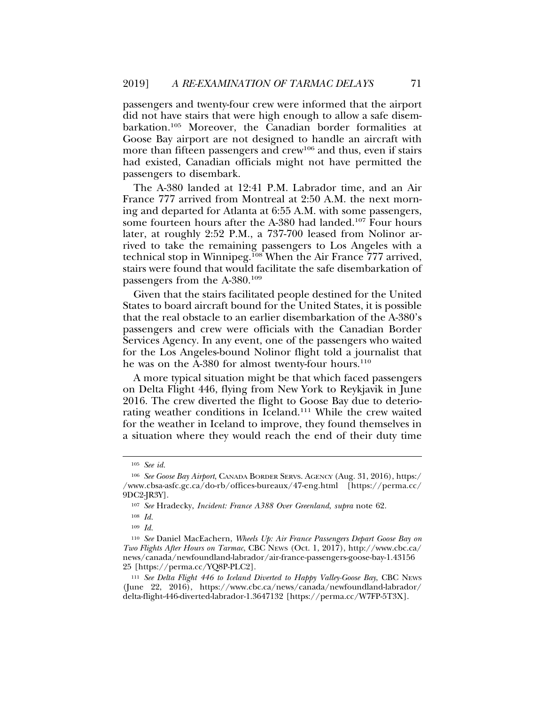passengers and twenty-four crew were informed that the airport did not have stairs that were high enough to allow a safe disembarkation.105 Moreover, the Canadian border formalities at Goose Bay airport are not designed to handle an aircraft with more than fifteen passengers and crew<sup>106</sup> and thus, even if stairs had existed, Canadian officials might not have permitted the passengers to disembark.

The A-380 landed at 12:41 P.M. Labrador time, and an Air France 777 arrived from Montreal at 2:50 A.M. the next morning and departed for Atlanta at 6:55 A.M. with some passengers, some fourteen hours after the A-380 had landed.<sup>107</sup> Four hours later, at roughly 2:52 P.M., a 737-700 leased from Nolinor arrived to take the remaining passengers to Los Angeles with a technical stop in Winnipeg.<sup>108</sup> When the Air France 777 arrived, stairs were found that would facilitate the safe disembarkation of passengers from the A-380.109

Given that the stairs facilitated people destined for the United States to board aircraft bound for the United States, it is possible that the real obstacle to an earlier disembarkation of the A-380's passengers and crew were officials with the Canadian Border Services Agency. In any event, one of the passengers who waited for the Los Angeles-bound Nolinor flight told a journalist that he was on the A-380 for almost twenty-four hours.<sup>110</sup>

A more typical situation might be that which faced passengers on Delta Flight 446, flying from New York to Reykjavik in June 2016. The crew diverted the flight to Goose Bay due to deteriorating weather conditions in Iceland.111 While the crew waited for the weather in Iceland to improve, they found themselves in a situation where they would reach the end of their duty time

<sup>105</sup> *See id.*

<sup>106</sup> *See Goose Bay Airport*, CANADA BORDER SERVS. AGENCY (Aug. 31, 2016), https:/ /www.cbsa-asfc.gc.ca/do-rb/offices-bureaux/47-eng.html [https://perma.cc/ 9DC2-JR3Y].

<sup>107</sup> *See* Hradecky, *Incident: France A388 Over Greenland*, *supra* note 62.

<sup>108</sup> *Id.*

<sup>109</sup> *Id.*

<sup>110</sup> *See* Daniel MacEachern, *Wheels Up: Air France Passengers Depart Goose Bay on Two Flights After Hours on Tarmac*, CBC NEWS (Oct. 1, 2017), http://www.cbc.ca/ news/canada/newfoundland-labrador/air-france-passengers-goose-bay-1.43156 25 [https://perma.cc/YQ8P-PLC2].

<sup>111</sup> *See Delta Flight 446 to Iceland Diverted to Happy Valley-Goose Bay*, CBC NEWS (June 22, 2016), https://www.cbc.ca/news/canada/newfoundland-labrador/ delta-flight-446-diverted-labrador-1.3647132 [https://perma.cc/W7FP-5T3X].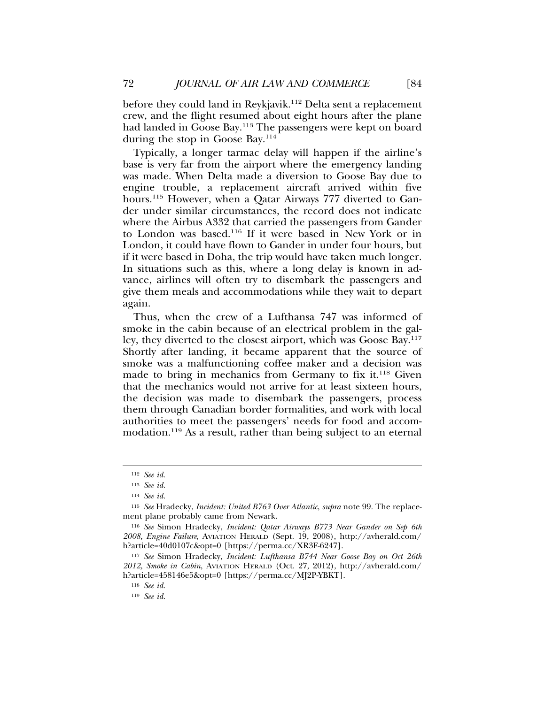before they could land in Reykjavik.<sup>112</sup> Delta sent a replacement crew, and the flight resumed about eight hours after the plane had landed in Goose Bay.113 The passengers were kept on board during the stop in Goose Bay.<sup>114</sup>

Typically, a longer tarmac delay will happen if the airline's base is very far from the airport where the emergency landing was made. When Delta made a diversion to Goose Bay due to engine trouble, a replacement aircraft arrived within five hours.<sup>115</sup> However, when a Qatar Airways 777 diverted to Gander under similar circumstances, the record does not indicate where the Airbus A332 that carried the passengers from Gander to London was based.116 If it were based in New York or in London, it could have flown to Gander in under four hours, but if it were based in Doha, the trip would have taken much longer. In situations such as this, where a long delay is known in advance, airlines will often try to disembark the passengers and give them meals and accommodations while they wait to depart again.

Thus, when the crew of a Lufthansa 747 was informed of smoke in the cabin because of an electrical problem in the galley, they diverted to the closest airport, which was Goose Bay.117 Shortly after landing, it became apparent that the source of smoke was a malfunctioning coffee maker and a decision was made to bring in mechanics from Germany to fix it.<sup>118</sup> Given that the mechanics would not arrive for at least sixteen hours, the decision was made to disembark the passengers, process them through Canadian border formalities, and work with local authorities to meet the passengers' needs for food and accommodation.119 As a result, rather than being subject to an eternal

<sup>112</sup> *See id.*

<sup>113</sup> *See id.*

<sup>114</sup> *See id.*

<sup>115</sup> *See* Hradecky, *Incident: United B763 Over Atlantic*, *supra* note 99. The replacement plane probably came from Newark.

<sup>116</sup> *See* Simon Hradecky, *Incident: Qatar Airways B773 Near Gander on Sep 6th 2008, Engine Failure*, AVIATION HERALD (Sept. 19, 2008), http://avherald.com/ h?article=40d0107c&opt=0 [https://perma.cc/XR3F-6247].

<sup>117</sup> *See* Simon Hradecky, *Incident: Lufthansa B744 Near Goose Bay on Oct 26th 2012, Smoke in Cabin*, AVIATION HERALD (Oct. 27, 2012), http://avherald.com/ h?article=458146e5&opt=0 [https://perma.cc/MJ2P-YBKT].

<sup>118</sup> *See id.*

<sup>119</sup> *See id.*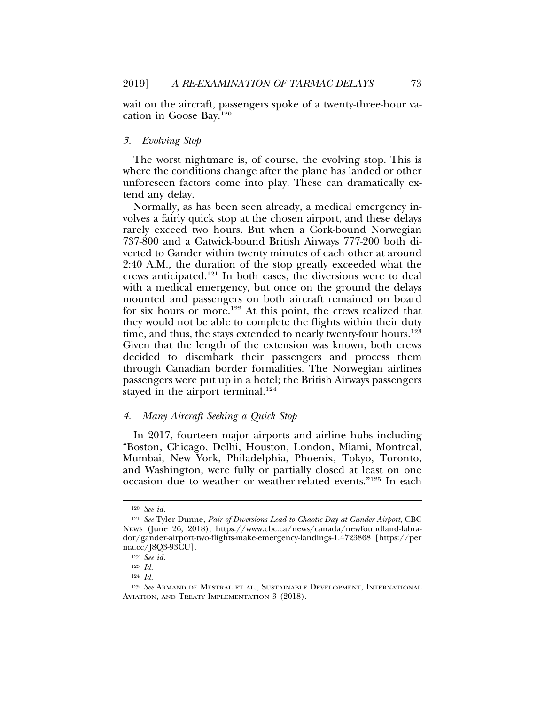wait on the aircraft, passengers spoke of a twenty-three-hour vacation in Goose Bay.120

# *3. Evolving Stop*

The worst nightmare is, of course, the evolving stop. This is where the conditions change after the plane has landed or other unforeseen factors come into play. These can dramatically extend any delay.

Normally, as has been seen already, a medical emergency involves a fairly quick stop at the chosen airport, and these delays rarely exceed two hours. But when a Cork-bound Norwegian 737-800 and a Gatwick-bound British Airways 777-200 both diverted to Gander within twenty minutes of each other at around 2:40 A.M., the duration of the stop greatly exceeded what the crews anticipated.121 In both cases, the diversions were to deal with a medical emergency, but once on the ground the delays mounted and passengers on both aircraft remained on board for six hours or more.<sup>122</sup> At this point, the crews realized that they would not be able to complete the flights within their duty time, and thus, the stays extended to nearly twenty-four hours.<sup>123</sup> Given that the length of the extension was known, both crews decided to disembark their passengers and process them through Canadian border formalities. The Norwegian airlines passengers were put up in a hotel; the British Airways passengers stayed in the airport terminal.<sup>124</sup>

# *4. Many Aircraft Seeking a Quick Stop*

In 2017, fourteen major airports and airline hubs including "Boston, Chicago, Delhi, Houston, London, Miami, Montreal, Mumbai, New York, Philadelphia, Phoenix, Tokyo, Toronto, and Washington, were fully or partially closed at least on one occasion due to weather or weather-related events."125 In each

<sup>120</sup> *See id.*

<sup>121</sup> *See* Tyler Dunne, *Pair of Diversions Lead to Chaotic Day at Gander Airport*, CBC NEWS (June 26, 2018), https://www.cbc.ca/news/canada/newfoundland-labrador/gander-airport-two-flights-make-emergency-landings-1.4723868 [https://per ma.cc/J8Q3-93CU].

<sup>122</sup> *See id.*

<sup>123</sup> *Id.*

<sup>124</sup> *Id.*

<sup>125</sup> *See* ARMAND DE MESTRAL ET AL., SUSTAINABLE DEVELOPMENT, INTERNATIONAL AVIATION, AND TREATY IMPLEMENTATION 3 (2018).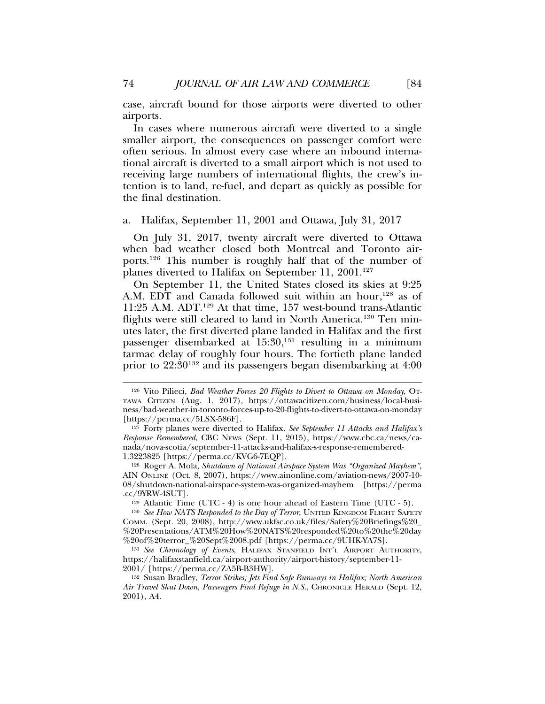case, aircraft bound for those airports were diverted to other airports.

In cases where numerous aircraft were diverted to a single smaller airport, the consequences on passenger comfort were often serious. In almost every case where an inbound international aircraft is diverted to a small airport which is not used to receiving large numbers of international flights, the crew's intention is to land, re-fuel, and depart as quickly as possible for the final destination.

# a. Halifax, September 11, 2001 and Ottawa, July 31, 2017

On July 31, 2017, twenty aircraft were diverted to Ottawa when bad weather closed both Montreal and Toronto airports.126 This number is roughly half that of the number of planes diverted to Halifax on September 11, 2001.<sup>127</sup>

On September 11, the United States closed its skies at 9:25 A.M. EDT and Canada followed suit within an hour,<sup>128</sup> as of 11:25 A.M. ADT.129 At that time, 157 west-bound trans-Atlantic flights were still cleared to land in North America.<sup>130</sup> Ten minutes later, the first diverted plane landed in Halifax and the first passenger disembarked at 15:30,<sup>131</sup> resulting in a minimum tarmac delay of roughly four hours. The fortieth plane landed prior to 22:30132 and its passengers began disembarking at 4:00

<sup>129</sup> Atlantic Time (UTC - 4) is one hour ahead of Eastern Time (UTC - 5).

<sup>130</sup> See How NATS Responded to the Day of Terror, UNITED KINGDOM FLIGHT SAFETY COMM. (Sept. 20, 2008), http://www.ukfsc.co.uk/files/Safety%20Briefings%20\_ %20Presentations/ATM%20How%20NATS%20responded%20to%20the%20day %20of%20terror\_%20Sept%2008.pdf [https://perma.cc/9UHK-YA7S].

<sup>131</sup> *See Chronology of Events*, HALIFAX STANFIELD INT'L AIRPORT AUTHORITY, https://halifaxstanfield.ca/airport-authority/airport-history/september-11- 2001/ [https://perma.cc/ZA5B-B3HW].

<sup>132</sup> Susan Bradley, *Terror Strikes; Jets Find Safe Runways in Halifax; North American Air Travel Shut Down, Passengers Find Refuge in N.S.*, CHRONICLE HERALD (Sept. 12, 2001), A4.

<sup>126</sup> Vito Pilieci, *Bad Weather Forces 20 Flights to Divert to Ottawa on Monday*, OT-TAWA CITIZEN (Aug. 1, 2017), https://ottawacitizen.com/business/local-business/bad-weather-in-toronto-forces-up-to-20-flights-to-divert-to-ottawa-on-monday [https://perma.cc/5LSX-586F].

<sup>127</sup> Forty planes were diverted to Halifax. *See September 11 Attacks and Halifax's Response Remembered*, CBC NEWS (Sept. 11, 2015), https://www.cbc.ca/news/canada/nova-scotia/september-11-attacks-and-halifax-s-response-remembered-1.3223825 [https://perma.cc/KVG6-7EQP].

<sup>128</sup> Roger A. Mola, *Shutdown of National Airspace System Was "Organized Mayhem"*, AIN ONLINE (Oct. 8, 2007), https://www.ainonline.com/aviation-news/2007-10- 08/shutdown-national-airspace-system-was-organized-mayhem [https://perma .cc/9YRW-4SUT].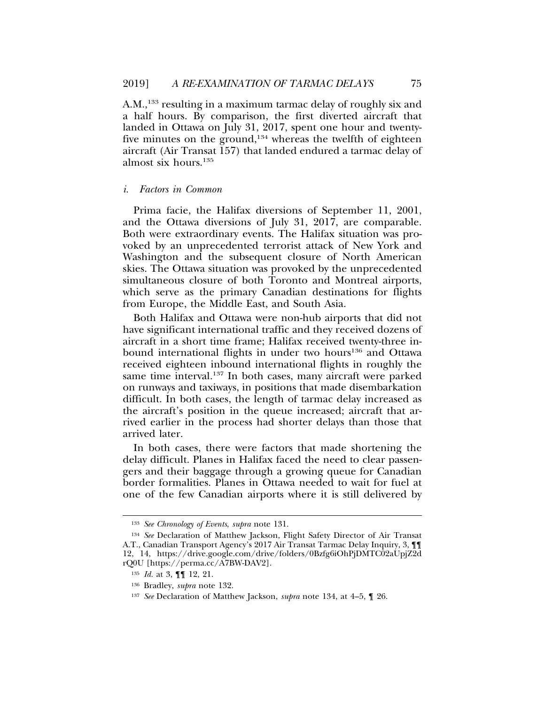A.M.,<sup>133</sup> resulting in a maximum tarmac delay of roughly six and a half hours. By comparison, the first diverted aircraft that landed in Ottawa on July 31, 2017, spent one hour and twentyfive minutes on the ground, $134$  whereas the twelfth of eighteen aircraft (Air Transat 157) that landed endured a tarmac delay of almost six hours.135

#### *i. Factors in Common*

Prima facie, the Halifax diversions of September 11, 2001, and the Ottawa diversions of July 31, 2017, are comparable. Both were extraordinary events. The Halifax situation was provoked by an unprecedented terrorist attack of New York and Washington and the subsequent closure of North American skies. The Ottawa situation was provoked by the unprecedented simultaneous closure of both Toronto and Montreal airports, which serve as the primary Canadian destinations for flights from Europe, the Middle East, and South Asia.

Both Halifax and Ottawa were non-hub airports that did not have significant international traffic and they received dozens of aircraft in a short time frame; Halifax received twenty-three inbound international flights in under two hours<sup>136</sup> and Ottawa received eighteen inbound international flights in roughly the same time interval.<sup>137</sup> In both cases, many aircraft were parked on runways and taxiways, in positions that made disembarkation difficult. In both cases, the length of tarmac delay increased as the aircraft's position in the queue increased; aircraft that arrived earlier in the process had shorter delays than those that arrived later.

In both cases, there were factors that made shortening the delay difficult. Planes in Halifax faced the need to clear passengers and their baggage through a growing queue for Canadian border formalities. Planes in Ottawa needed to wait for fuel at one of the few Canadian airports where it is still delivered by

<sup>133</sup> *See Chronology of Events*, *supra* note 131.

<sup>134</sup> *See* Declaration of Matthew Jackson, Flight Safety Director of Air Transat A.T., Canadian Transport Agency's 2017 Air Transat Tarmac Delay Inquiry, 3, ¶¶ 12, 14, https://drive.google.com/drive/folders/0Bzfg6iOhPjDMTC02aUpjZ2d rQ0U [https://perma.cc/A7BW-DAV2].

<sup>135</sup> *Id.* at 3, ¶¶ 12, 21.

<sup>136</sup> Bradley, *supra* note 132.

<sup>137</sup> *See* Declaration of Matthew Jackson, *supra* note 134, at 4–5, ¶ 26.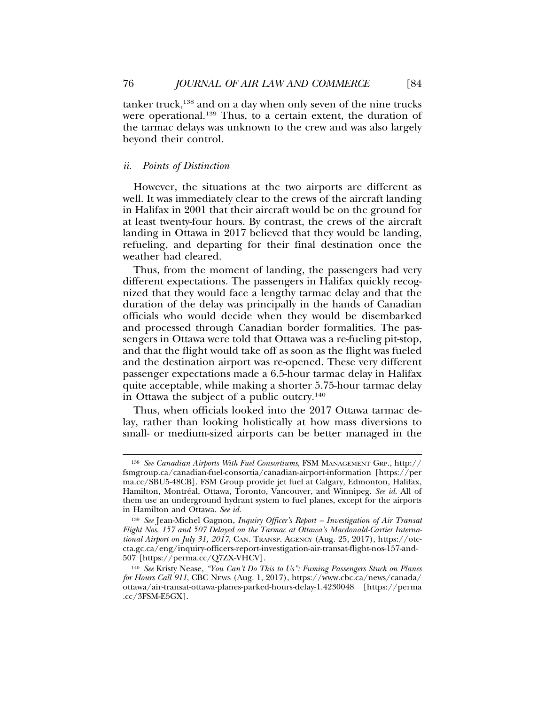$tan \n\text{ker} \, \text{truck},$ <sup>138</sup> and on a day when only seven of the nine trucks were operational.<sup>139</sup> Thus, to a certain extent, the duration of the tarmac delays was unknown to the crew and was also largely beyond their control.

# *ii. Points of Distinction*

However, the situations at the two airports are different as well. It was immediately clear to the crews of the aircraft landing in Halifax in 2001 that their aircraft would be on the ground for at least twenty-four hours. By contrast, the crews of the aircraft landing in Ottawa in 2017 believed that they would be landing, refueling, and departing for their final destination once the weather had cleared.

Thus, from the moment of landing, the passengers had very different expectations. The passengers in Halifax quickly recognized that they would face a lengthy tarmac delay and that the duration of the delay was principally in the hands of Canadian officials who would decide when they would be disembarked and processed through Canadian border formalities. The passengers in Ottawa were told that Ottawa was a re-fueling pit-stop, and that the flight would take off as soon as the flight was fueled and the destination airport was re-opened. These very different passenger expectations made a 6.5-hour tarmac delay in Halifax quite acceptable, while making a shorter 5.75-hour tarmac delay in Ottawa the subject of a public outcry.<sup>140</sup>

Thus, when officials looked into the 2017 Ottawa tarmac delay, rather than looking holistically at how mass diversions to small- or medium-sized airports can be better managed in the

<sup>138</sup> *See Canadian Airports With Fuel Consortiums*, FSM MANAGEMENT GRP., http:// fsmgroup.ca/canadian-fuel-consortia/canadian-airport-information [https://per ma.cc/SBU5-48CB]. FSM Group provide jet fuel at Calgary, Edmonton, Halifax, Hamilton, Montréal, Ottawa, Toronto, Vancouver, and Winnipeg. See id. All of them use an underground hydrant system to fuel planes, except for the airports in Hamilton and Ottawa. *See id.*

<sup>139</sup> *See* Jean-Michel Gagnon, *Inquiry Officer's Report – Investigation of Air Transat Flight Nos*. *157 and 507 Delayed on the Tarmac at Ottawa's Macdonald-Cartier International Airport on July 31, 2017*, CAN. TRANSP. AGENCY (Aug. 25, 2017), https://otccta.gc.ca/eng/inquiry-officers-report-investigation-air-transat-flight-nos-157-and-507 [https://perma.cc/Q7ZX-VHCV].

<sup>140</sup> *See* Kristy Nease, *"You Can't Do This to Us": Fuming Passengers Stuck on Planes for Hours Call 911*, CBC NEWS (Aug. 1, 2017), https://www.cbc.ca/news/canada/ ottawa/air-transat-ottawa-planes-parked-hours-delay-1.4230048 [https://perma .cc/3FSM-E5GX].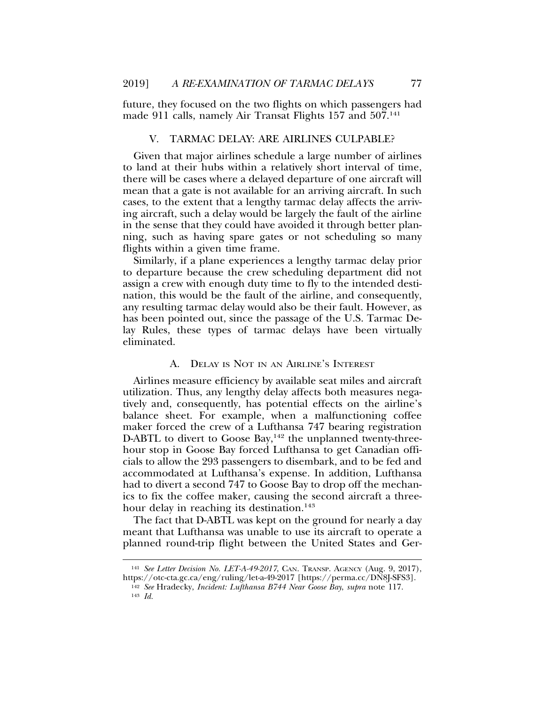future, they focused on the two flights on which passengers had made 911 calls, namely Air Transat Flights 157 and 507.<sup>141</sup>

## V. TARMAC DELAY: ARE AIRLINES CULPABLE?

Given that major airlines schedule a large number of airlines to land at their hubs within a relatively short interval of time, there will be cases where a delayed departure of one aircraft will mean that a gate is not available for an arriving aircraft. In such cases, to the extent that a lengthy tarmac delay affects the arriving aircraft, such a delay would be largely the fault of the airline in the sense that they could have avoided it through better planning, such as having spare gates or not scheduling so many flights within a given time frame.

Similarly, if a plane experiences a lengthy tarmac delay prior to departure because the crew scheduling department did not assign a crew with enough duty time to fly to the intended destination, this would be the fault of the airline, and consequently, any resulting tarmac delay would also be their fault. However, as has been pointed out, since the passage of the U.S. Tarmac Delay Rules, these types of tarmac delays have been virtually eliminated.

### A. DELAY IS NOT IN AN AIRLINE'S INTEREST

Airlines measure efficiency by available seat miles and aircraft utilization. Thus, any lengthy delay affects both measures negatively and, consequently, has potential effects on the airline's balance sheet. For example, when a malfunctioning coffee maker forced the crew of a Lufthansa 747 bearing registration D-ABTL to divert to Goose Bay,<sup>142</sup> the unplanned twenty-threehour stop in Goose Bay forced Lufthansa to get Canadian officials to allow the 293 passengers to disembark, and to be fed and accommodated at Lufthansa's expense. In addition, Lufthansa had to divert a second 747 to Goose Bay to drop off the mechanics to fix the coffee maker, causing the second aircraft a threehour delay in reaching its destination.<sup>143</sup>

The fact that D-ABTL was kept on the ground for nearly a day meant that Lufthansa was unable to use its aircraft to operate a planned round-trip flight between the United States and Ger-

<sup>143</sup> *Id.*

<sup>141</sup> *See Letter Decision No. LET-A-49-2017*, CAN. TRANSP. AGENCY (Aug. 9, 2017), https://otc-cta.gc.ca/eng/ruling/let-a-49-2017 [https://perma.cc/DN8J-SFS3].

<sup>142</sup> *See* Hradecky, *Incident: Lufthansa B744 Near Goose Bay*, *supra* note 117.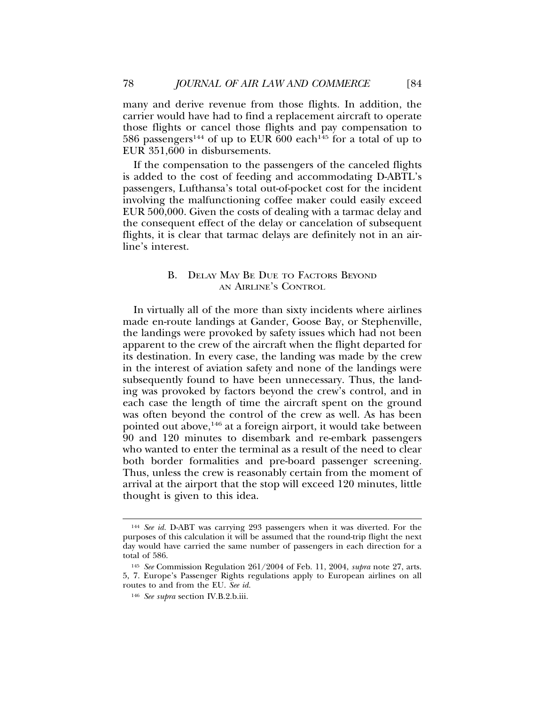many and derive revenue from those flights. In addition, the carrier would have had to find a replacement aircraft to operate those flights or cancel those flights and pay compensation to 586 passengers<sup>144</sup> of up to EUR 600 each<sup>145</sup> for a total of up to EUR 351,600 in disbursements.

If the compensation to the passengers of the canceled flights is added to the cost of feeding and accommodating D-ABTL's passengers, Lufthansa's total out-of-pocket cost for the incident involving the malfunctioning coffee maker could easily exceed EUR 500,000. Given the costs of dealing with a tarmac delay and the consequent effect of the delay or cancelation of subsequent flights, it is clear that tarmac delays are definitely not in an airline's interest.

# B. DELAY MAY BE DUE TO FACTORS BEYOND AN AIRLINE'S CONTROL

In virtually all of the more than sixty incidents where airlines made en-route landings at Gander, Goose Bay, or Stephenville, the landings were provoked by safety issues which had not been apparent to the crew of the aircraft when the flight departed for its destination. In every case, the landing was made by the crew in the interest of aviation safety and none of the landings were subsequently found to have been unnecessary. Thus, the landing was provoked by factors beyond the crew's control, and in each case the length of time the aircraft spent on the ground was often beyond the control of the crew as well. As has been pointed out above,146 at a foreign airport, it would take between 90 and 120 minutes to disembark and re-embark passengers who wanted to enter the terminal as a result of the need to clear both border formalities and pre-board passenger screening. Thus, unless the crew is reasonably certain from the moment of arrival at the airport that the stop will exceed 120 minutes, little thought is given to this idea.

<sup>144</sup> *See id.* D-ABT was carrying 293 passengers when it was diverted. For the purposes of this calculation it will be assumed that the round-trip flight the next day would have carried the same number of passengers in each direction for a total of 586.

<sup>145</sup> *See* Commission Regulation 261/2004 of Feb. 11, 2004, *supra* note 27, arts. 5, 7. Europe's Passenger Rights regulations apply to European airlines on all routes to and from the EU. *See id.*

<sup>146</sup> *See supra* section IV.B.2.b.iii.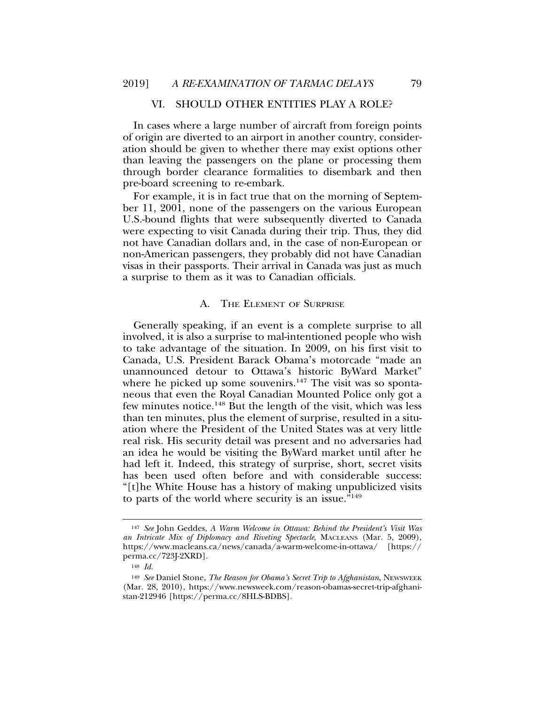# VI. SHOULD OTHER ENTITIES PLAY A ROLE?

In cases where a large number of aircraft from foreign points of origin are diverted to an airport in another country, consideration should be given to whether there may exist options other than leaving the passengers on the plane or processing them through border clearance formalities to disembark and then pre-board screening to re-embark.

For example, it is in fact true that on the morning of September 11, 2001, none of the passengers on the various European U.S.-bound flights that were subsequently diverted to Canada were expecting to visit Canada during their trip. Thus, they did not have Canadian dollars and, in the case of non-European or non-American passengers, they probably did not have Canadian visas in their passports. Their arrival in Canada was just as much a surprise to them as it was to Canadian officials.

# A. THE ELEMENT OF SURPRISE

Generally speaking, if an event is a complete surprise to all involved, it is also a surprise to mal-intentioned people who wish to take advantage of the situation. In 2009, on his first visit to Canada, U.S. President Barack Obama's motorcade "made an unannounced detour to Ottawa's historic ByWard Market" where he picked up some souvenirs.<sup>147</sup> The visit was so spontaneous that even the Royal Canadian Mounted Police only got a few minutes notice.148 But the length of the visit, which was less than ten minutes, plus the element of surprise, resulted in a situation where the President of the United States was at very little real risk. His security detail was present and no adversaries had an idea he would be visiting the ByWard market until after he had left it. Indeed, this strategy of surprise, short, secret visits has been used often before and with considerable success: "[t]he White House has a history of making unpublicized visits to parts of the world where security is an issue."149

<sup>147</sup> *See* John Geddes, *A Warm Welcome in Ottawa: Behind the President's Visit Was an Intricate Mix of Diplomacy and Riveting Spectacle*, MACLEANS (Mar. 5, 2009), https://www.macleans.ca/news/canada/a-warm-welcome-in-ottawa/ [https:// perma.cc/723J-2XRD].

<sup>148</sup> *Id.*

<sup>149</sup> *See* Daniel Stone, *The Reason for Obama's Secret Trip to Afghanistan*, NEWSWEEK (Mar. 28, 2010), https://www.newsweek.com/reason-obamas-secret-trip-afghanistan-212946 [https://perma.cc/8HLS-BDBS].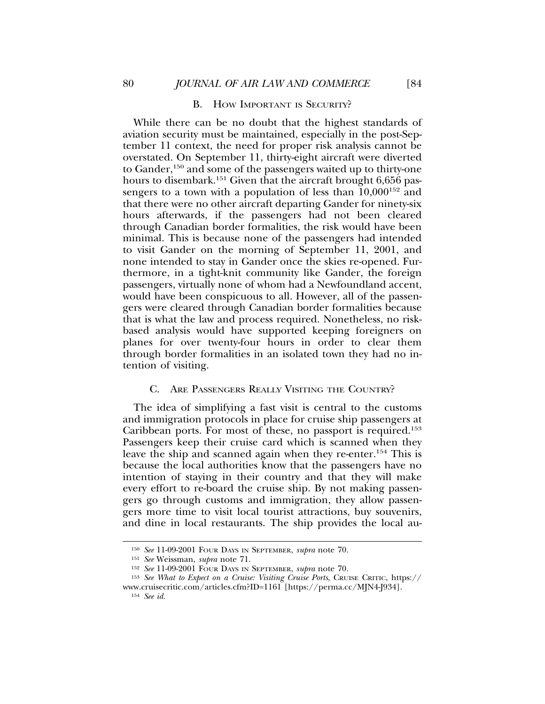# B. HOW IMPORTANT IS SECURITY?

While there can be no doubt that the highest standards of aviation security must be maintained, especially in the post-September 11 context, the need for proper risk analysis cannot be overstated. On September 11, thirty-eight aircraft were diverted to Gander,150 and some of the passengers waited up to thirty-one hours to disembark.<sup>151</sup> Given that the aircraft brought 6,656 passengers to a town with a population of less than  $10,000^{152}$  and that there were no other aircraft departing Gander for ninety-six hours afterwards, if the passengers had not been cleared through Canadian border formalities, the risk would have been minimal. This is because none of the passengers had intended to visit Gander on the morning of September 11, 2001, and none intended to stay in Gander once the skies re-opened. Furthermore, in a tight-knit community like Gander, the foreign passengers, virtually none of whom had a Newfoundland accent, would have been conspicuous to all. However, all of the passengers were cleared through Canadian border formalities because that is what the law and process required. Nonetheless, no riskbased analysis would have supported keeping foreigners on planes for over twenty-four hours in order to clear them through border formalities in an isolated town they had no intention of visiting.

#### C. ARE PASSENGERS REALLY VISITING THE COUNTRY?

The idea of simplifying a fast visit is central to the customs and immigration protocols in place for cruise ship passengers at Caribbean ports. For most of these, no passport is required.<sup>153</sup> Passengers keep their cruise card which is scanned when they leave the ship and scanned again when they re-enter.154 This is because the local authorities know that the passengers have no intention of staying in their country and that they will make every effort to re-board the cruise ship. By not making passengers go through customs and immigration, they allow passengers more time to visit local tourist attractions, buy souvenirs, and dine in local restaurants. The ship provides the local au-

<sup>150</sup> *See* 11-09-2001 FOUR DAYS IN SEPTEMBER, *supra* note 70.

<sup>151</sup> *See* Weissman, *supra* note 71.

<sup>152</sup> *See* 11-09-2001 FOUR DAYS IN SEPTEMBER, *supra* note 70.

<sup>153</sup> *See What to Expect on a Cruise: Visiting Cruise Ports*, CRUISE CRITIC, https:// www.cruisecritic.com/articles.cfm?ID=1161 [https://perma.cc/MJN4-J934].

<sup>154</sup> *See id.*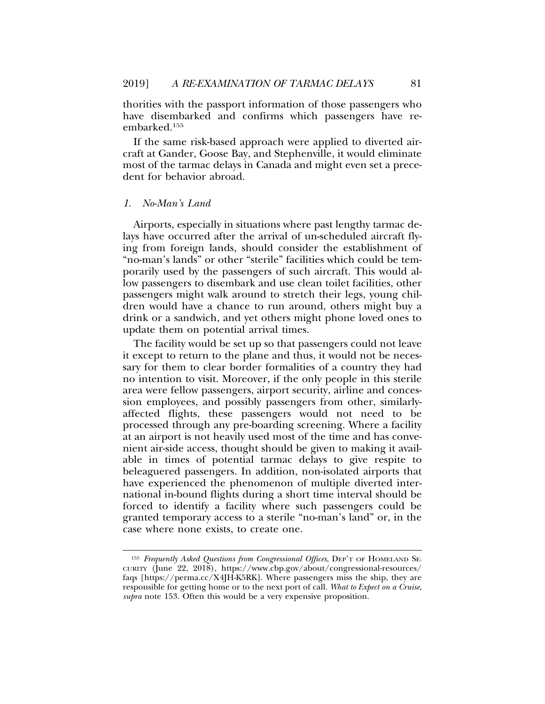thorities with the passport information of those passengers who have disembarked and confirms which passengers have reembarked.155

If the same risk-based approach were applied to diverted aircraft at Gander, Goose Bay, and Stephenville, it would eliminate most of the tarmac delays in Canada and might even set a precedent for behavior abroad.

#### *1. No-Man's Land*

Airports, especially in situations where past lengthy tarmac delays have occurred after the arrival of un-scheduled aircraft flying from foreign lands, should consider the establishment of "no-man's lands" or other "sterile" facilities which could be temporarily used by the passengers of such aircraft. This would allow passengers to disembark and use clean toilet facilities, other passengers might walk around to stretch their legs, young children would have a chance to run around, others might buy a drink or a sandwich, and yet others might phone loved ones to update them on potential arrival times.

The facility would be set up so that passengers could not leave it except to return to the plane and thus, it would not be necessary for them to clear border formalities of a country they had no intention to visit. Moreover, if the only people in this sterile area were fellow passengers, airport security, airline and concession employees, and possibly passengers from other, similarlyaffected flights, these passengers would not need to be processed through any pre-boarding screening. Where a facility at an airport is not heavily used most of the time and has convenient air-side access, thought should be given to making it available in times of potential tarmac delays to give respite to beleaguered passengers. In addition, non-isolated airports that have experienced the phenomenon of multiple diverted international in-bound flights during a short time interval should be forced to identify a facility where such passengers could be granted temporary access to a sterile "no-man's land" or, in the case where none exists, to create one.

<sup>155</sup> *Frequently Asked Questions from Congressional Offices*, DEP'T OF HOMELAND SE-CURITY (June 22, 2018), https://www.cbp.gov/about/congressional-resources/ faqs [https://perma.cc/X4JH-K5RK]. Where passengers miss the ship, they are responsible for getting home or to the next port of call. *What to Expect on a Cruise*, *supra* note 153. Often this would be a very expensive proposition.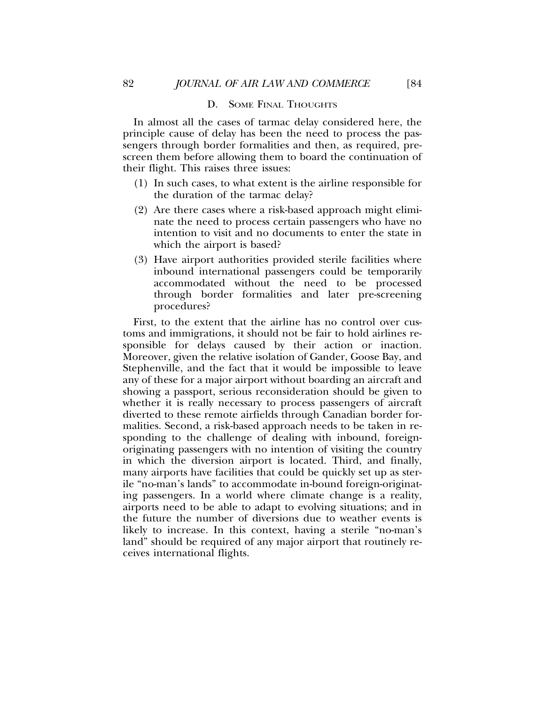## D. SOME FINAL THOUGHTS

In almost all the cases of tarmac delay considered here, the principle cause of delay has been the need to process the passengers through border formalities and then, as required, prescreen them before allowing them to board the continuation of their flight. This raises three issues:

- (1) In such cases, to what extent is the airline responsible for the duration of the tarmac delay?
- (2) Are there cases where a risk-based approach might eliminate the need to process certain passengers who have no intention to visit and no documents to enter the state in which the airport is based?
- (3) Have airport authorities provided sterile facilities where inbound international passengers could be temporarily accommodated without the need to be processed through border formalities and later pre-screening procedures?

First, to the extent that the airline has no control over customs and immigrations, it should not be fair to hold airlines responsible for delays caused by their action or inaction. Moreover, given the relative isolation of Gander, Goose Bay, and Stephenville, and the fact that it would be impossible to leave any of these for a major airport without boarding an aircraft and showing a passport, serious reconsideration should be given to whether it is really necessary to process passengers of aircraft diverted to these remote airfields through Canadian border formalities. Second, a risk-based approach needs to be taken in responding to the challenge of dealing with inbound, foreignoriginating passengers with no intention of visiting the country in which the diversion airport is located. Third, and finally, many airports have facilities that could be quickly set up as sterile "no-man's lands" to accommodate in-bound foreign-originating passengers. In a world where climate change is a reality, airports need to be able to adapt to evolving situations; and in the future the number of diversions due to weather events is likely to increase. In this context, having a sterile "no-man's land" should be required of any major airport that routinely receives international flights.